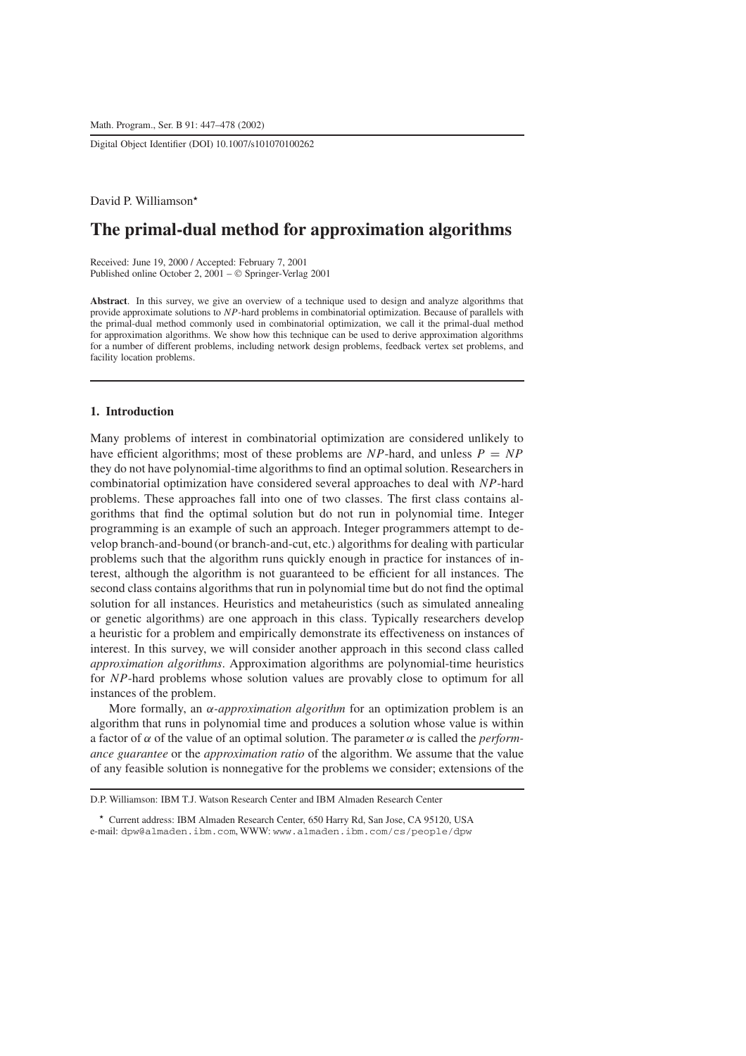Digital Object Identifier (DOI) 10.1007/s101070100262

David P. Williamson

# **The primal-dual method for approximation algorithms**

Received: June 19, 2000 / Accepted: February 7, 2001 Published online October 2,  $2001 - \circ$  Springer-Verlag 2001

**Abstract**. In this survey, we give an overview of a technique used to design and analyze algorithms that provide approximate solutions to *NP*-hard problems in combinatorial optimization. Because of parallels with the primal-dual method commonly used in combinatorial optimization, we call it the primal-dual method for approximation algorithms. We show how this technique can be used to derive approximation algorithms for a number of different problems, including network design problems, feedback vertex set problems, and facility location problems.

# **1. Introduction**

Many problems of interest in combinatorial optimization are considered unlikely to have efficient algorithms; most of these problems are *NP*-hard, and unless  $P = NP$ they do not have polynomial-time algorithms to find an optimal solution. Researchers in combinatorial optimization have considered several approaches to deal with *NP*-hard problems. These approaches fall into one of two classes. The first class contains algorithms that find the optimal solution but do not run in polynomial time. Integer programming is an example of such an approach. Integer programmers attempt to develop branch-and-bound (or branch-and-cut, etc.) algorithms for dealing with particular problems such that the algorithm runs quickly enough in practice for instances of interest, although the algorithm is not guaranteed to be efficient for all instances. The second class contains algorithms that run in polynomial time but do not find the optimal solution for all instances. Heuristics and metaheuristics (such as simulated annealing or genetic algorithms) are one approach in this class. Typically researchers develop a heuristic for a problem and empirically demonstrate its effectiveness on instances of interest. In this survey, we will consider another approach in this second class called *approximation algorithms*. Approximation algorithms are polynomial-time heuristics for *NP*-hard problems whose solution values are provably close to optimum for all instances of the problem.

More formally, an α*-approximation algorithm* for an optimization problem is an algorithm that runs in polynomial time and produces a solution whose value is within a factor of  $\alpha$  of the value of an optimal solution. The parameter  $\alpha$  is called the *performance guarantee* or the *approximation ratio* of the algorithm. We assume that the value of any feasible solution is nonnegative for the problems we consider; extensions of the

D.P. Williamson: IBM T.J. Watson Research Center and IBM Almaden Research Center

<sup>\*</sup> Current address: IBM Almaden Research Center, 650 Harry Rd, San Jose, CA 95120, USA e-mail: dpw@almaden.ibm.com, WWW: www.almaden.ibm.com/cs/people/dpw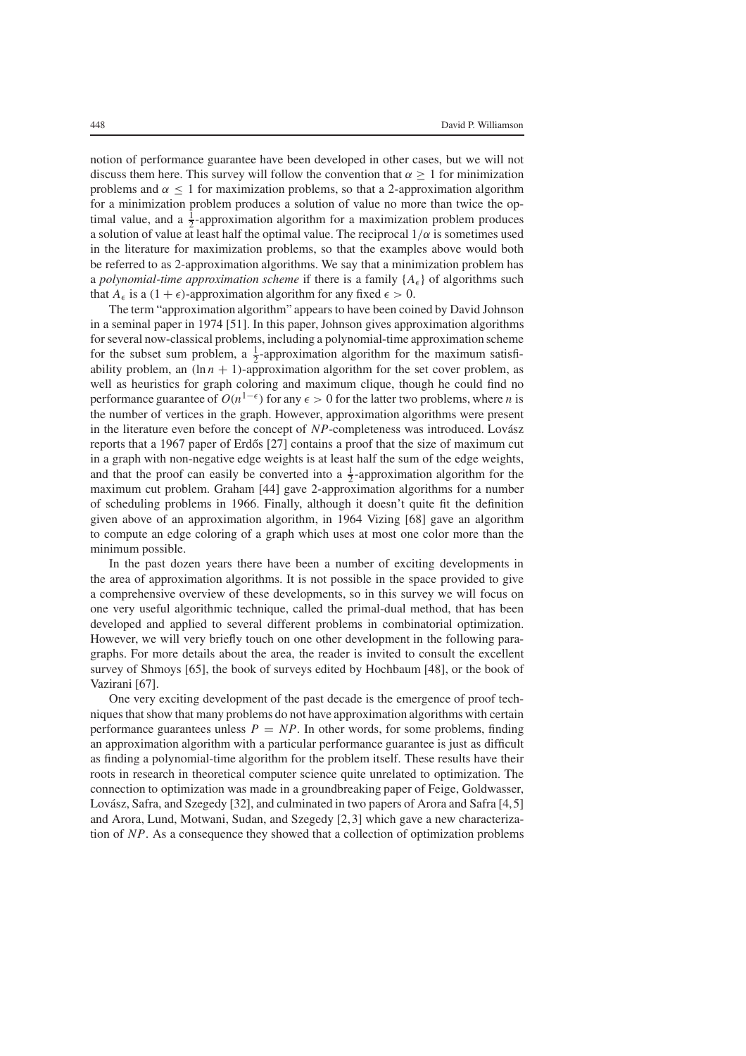notion of performance guarantee have been developed in other cases, but we will not discuss them here. This survey will follow the convention that  $\alpha \geq 1$  for minimization problems and  $\alpha$  < 1 for maximization problems, so that a 2-approximation algorithm for a minimization problem produces a solution of value no more than twice the optimal value, and a  $\frac{1}{2}$ -approximation algorithm for a maximization problem produces a solution of value at least half the optimal value. The reciprocal  $1/\alpha$  is sometimes used in the literature for maximization problems, so that the examples above would both be referred to as 2-approximation algorithms. We say that a minimization problem has a *polynomial-time approximation scheme* if there is a family  ${A_{\epsilon}}$  of algorithms such that  $A_{\epsilon}$  is a  $(1 + \epsilon)$ -approximation algorithm for any fixed  $\epsilon > 0$ .

The term "approximation algorithm" appears to have been coined by David Johnson in a seminal paper in 1974 [51]. In this paper, Johnson gives approximation algorithms for several now-classical problems, including a polynomial-time approximation scheme for the subset sum problem, a  $\frac{1}{2}$ -approximation algorithm for the maximum satisfiability problem, an  $(\ln n + 1)$ -approximation algorithm for the set cover problem, as well as heuristics for graph coloring and maximum clique, though he could find no performance guarantee of  $O(n^{1-\epsilon})$  for any  $\epsilon > 0$  for the latter two problems, where *n* is the number of vertices in the graph. However, approximation algorithms were present in the literature even before the concept of *NP*-completeness was introduced. Lovász reports that a 1967 paper of Erdős  $[27]$  contains a proof that the size of maximum cut in a graph with non-negative edge weights is at least half the sum of the edge weights, and that the proof can easily be converted into a  $\frac{1}{2}$ -approximation algorithm for the maximum cut problem. Graham [44] gave 2-approximation algorithms for a number of scheduling problems in 1966. Finally, although it doesn't quite fit the definition given above of an approximation algorithm, in 1964 Vizing [68] gave an algorithm to compute an edge coloring of a graph which uses at most one color more than the minimum possible.

In the past dozen years there have been a number of exciting developments in the area of approximation algorithms. It is not possible in the space provided to give a comprehensive overview of these developments, so in this survey we will focus on one very useful algorithmic technique, called the primal-dual method, that has been developed and applied to several different problems in combinatorial optimization. However, we will very briefly touch on one other development in the following paragraphs. For more details about the area, the reader is invited to consult the excellent survey of Shmoys [65], the book of surveys edited by Hochbaum [48], or the book of Vazirani [67].

One very exciting development of the past decade is the emergence of proof techniques that show that many problems do not have approximation algorithms with certain performance guarantees unless  $P = NP$ . In other words, for some problems, finding an approximation algorithm with a particular performance guarantee is just as difficult as finding a polynomial-time algorithm for the problem itself. These results have their roots in research in theoretical computer science quite unrelated to optimization. The connection to optimization was made in a groundbreaking paper of Feige, Goldwasser, Lovász, Safra, and Szegedy [32], and culminated in two papers of Arora and Safra [4,5] and Arora, Lund, Motwani, Sudan, and Szegedy [2,3] which gave a new characterization of *NP*. As a consequence they showed that a collection of optimization problems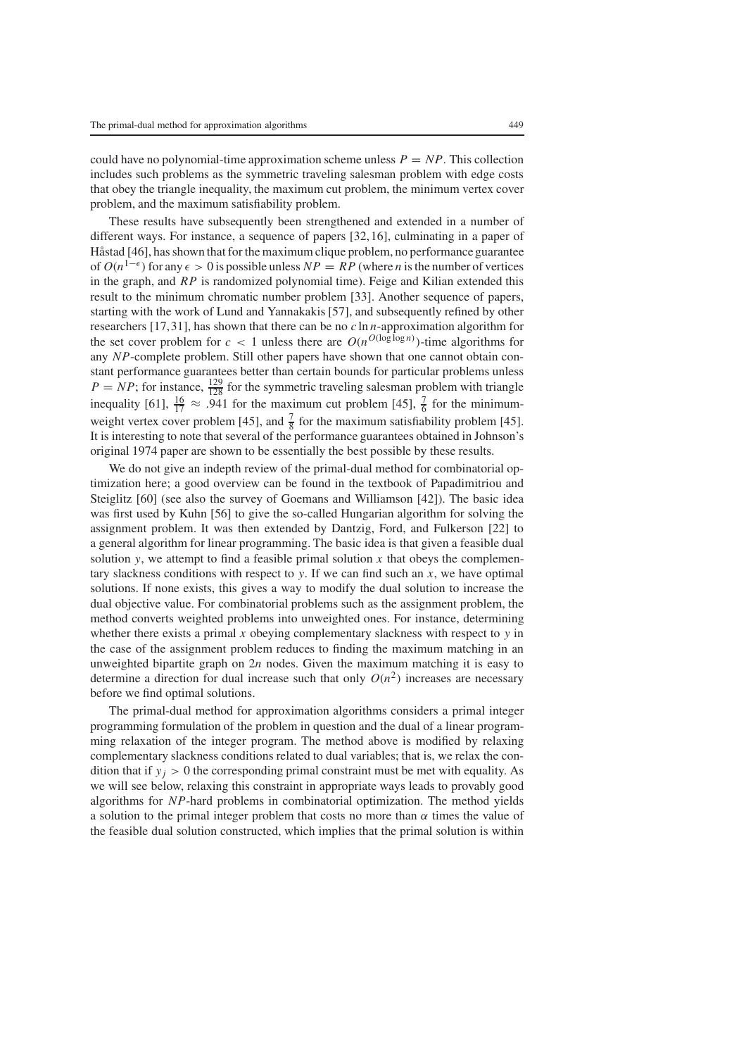could have no polynomial-time approximation scheme unless  $P = NP$ . This collection includes such problems as the symmetric traveling salesman problem with edge costs that obey the triangle inequality, the maximum cut problem, the minimum vertex cover problem, and the maximum satisfiability problem.

These results have subsequently been strengthened and extended in a number of different ways. For instance, a sequence of papers [32,16], culminating in a paper of Håstad [46], has shown that for the maximum clique problem, no performance guarantee of  $O(n^{1-\epsilon})$  for any  $\epsilon > 0$  is possible unless  $NP = RP$  (where *n* is the number of vertices in the graph, and *RP* is randomized polynomial time). Feige and Kilian extended this result to the minimum chromatic number problem [33]. Another sequence of papers, starting with the work of Lund and Yannakakis [57], and subsequently refined by other researchers [17,31], has shown that there can be no *c* ln *n*-approximation algorithm for the set cover problem for  $c < 1$  unless there are  $O(n^{O(\log \log n)})$ -time algorithms for any *NP*-complete problem. Still other papers have shown that one cannot obtain constant performance guarantees better than certain bounds for particular problems unless  $P = NP$ ; for instance,  $\frac{129}{128}$  for the symmetric traveling salesman problem with triangle inequality [61],  $\frac{16}{17} \approx .941$  for the maximum cut problem [45],  $\frac{7}{6}$  for the minimumweight vertex cover problem [45], and  $\frac{7}{8}$  for the maximum satisfiability problem [45]. It is interesting to note that several of the performance guarantees obtained in Johnson's original 1974 paper are shown to be essentially the best possible by these results.

We do not give an indepth review of the primal-dual method for combinatorial optimization here; a good overview can be found in the textbook of Papadimitriou and Steiglitz [60] (see also the survey of Goemans and Williamson [42]). The basic idea was first used by Kuhn [56] to give the so-called Hungarian algorithm for solving the assignment problem. It was then extended by Dantzig, Ford, and Fulkerson [22] to a general algorithm for linear programming. The basic idea is that given a feasible dual solution *y*, we attempt to find a feasible primal solution  $x$  that obeys the complementary slackness conditions with respect to *y*. If we can find such an *x*, we have optimal solutions. If none exists, this gives a way to modify the dual solution to increase the dual objective value. For combinatorial problems such as the assignment problem, the method converts weighted problems into unweighted ones. For instance, determining whether there exists a primal *x* obeying complementary slackness with respect to *y* in the case of the assignment problem reduces to finding the maximum matching in an unweighted bipartite graph on 2*n* nodes. Given the maximum matching it is easy to determine a direction for dual increase such that only  $O(n^2)$  increases are necessary before we find optimal solutions.

The primal-dual method for approximation algorithms considers a primal integer programming formulation of the problem in question and the dual of a linear programming relaxation of the integer program. The method above is modified by relaxing complementary slackness conditions related to dual variables; that is, we relax the condition that if  $y_j > 0$  the corresponding primal constraint must be met with equality. As we will see below, relaxing this constraint in appropriate ways leads to provably good algorithms for *NP*-hard problems in combinatorial optimization. The method yields a solution to the primal integer problem that costs no more than  $\alpha$  times the value of the feasible dual solution constructed, which implies that the primal solution is within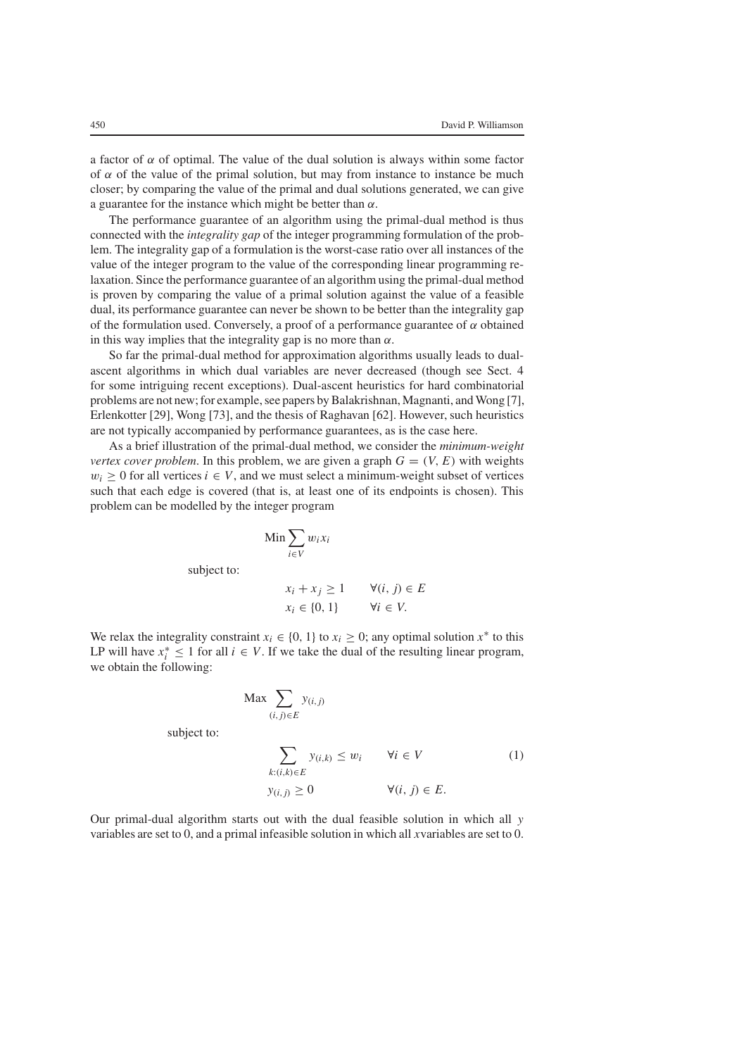a factor of  $\alpha$  of optimal. The value of the dual solution is always within some factor of  $\alpha$  of the value of the primal solution, but may from instance to instance be much closer; by comparing the value of the primal and dual solutions generated, we can give a guarantee for the instance which might be better than  $\alpha$ .

The performance guarantee of an algorithm using the primal-dual method is thus connected with the *integrality gap* of the integer programming formulation of the problem. The integrality gap of a formulation is the worst-case ratio over all instances of the value of the integer program to the value of the corresponding linear programming relaxation. Since the performance guarantee of an algorithm using the primal-dual method is proven by comparing the value of a primal solution against the value of a feasible dual, its performance guarantee can never be shown to be better than the integrality gap of the formulation used. Conversely, a proof of a performance guarantee of  $\alpha$  obtained in this way implies that the integrality gap is no more than  $\alpha$ .

So far the primal-dual method for approximation algorithms usually leads to dualascent algorithms in which dual variables are never decreased (though see Sect. 4 for some intriguing recent exceptions). Dual-ascent heuristics for hard combinatorial problems are not new; for example, see papers by Balakrishnan, Magnanti, and Wong [7], Erlenkotter [29], Wong [73], and the thesis of Raghavan [62]. However, such heuristics are not typically accompanied by performance guarantees, as is the case here.

As a brief illustration of the primal-dual method, we consider the *minimum-weight vertex cover problem.* In this problem, we are given a graph  $G = (V, E)$  with weights  $w_i \geq 0$  for all vertices  $i \in V$ , and we must select a minimum-weight subset of vertices such that each edge is covered (that is, at least one of its endpoints is chosen). This problem can be modelled by the integer program

$$
\operatorname{Min} \sum_{i \in V} w_i x_i
$$

subject to:

$$
x_i + x_j \ge 1 \qquad \forall (i, j) \in E
$$
  

$$
x_i \in \{0, 1\} \qquad \forall i \in V.
$$

We relax the integrality constraint  $x_i \in \{0, 1\}$  to  $x_i \geq 0$ ; any optimal solution  $x^*$  to this LP will have  $x_i^* \leq 1$  for all  $i \in V$ . If we take the dual of the resulting linear program, we obtain the following:

$$
\text{Max} \sum_{(i,j)\in E} y_{(i,j)}
$$

subject to:

$$
\sum_{k:(i,k)\in E} y_{(i,k)} \le w_i \qquad \forall i \in V
$$
\n
$$
y_{(i,j)} \ge 0 \qquad \forall (i,j) \in E.
$$
\n
$$
(1)
$$

Our primal-dual algorithm starts out with the dual feasible solution in which all *y* variables are set to 0, and a primal infeasible solution in which all *x*variables are set to 0.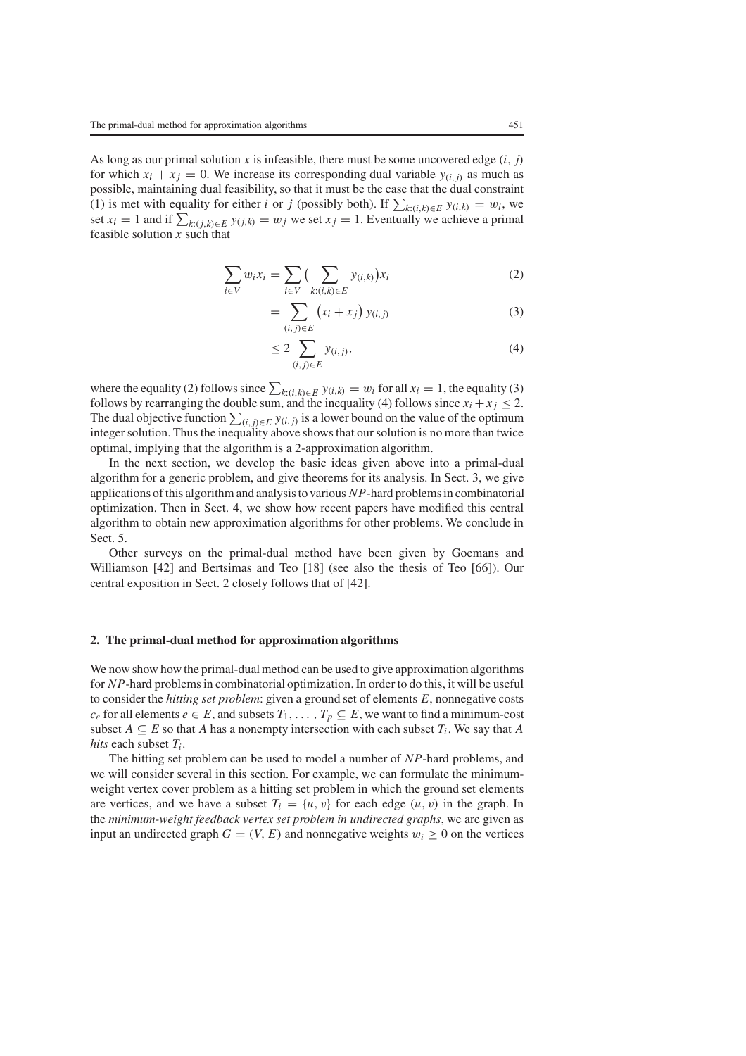As long as our primal solution *x* is infeasible, there must be some uncovered edge  $(i, j)$ for which  $x_i + x_j = 0$ . We increase its corresponding dual variable  $y_{(i,j)}$  as much as possible, maintaining dual feasibility, so that it must be the case that the dual constraint (1) is met with equality for either *i* or *j* (possibly both). If  $\sum_{k:(i,k)\in E} y_{(i,k)} = w_i$ , we set  $x_i = 1$  and if  $\sum_{k:(j,k)\in E} y_{(j,k)} = w_j$  we set  $x_j = 1$ . Eventually we achieve a primal feasible solution *x* such that

$$
\sum_{i \in V} w_i x_i = \sum_{i \in V} \left( \sum_{k:(i,k) \in E} y_{(i,k)} \right) x_i \tag{2}
$$

$$
= \sum_{(i,j)\in E} (x_i + x_j) y_{(i,j)}
$$
 (3)

$$
\leq 2\sum_{(i,j)\in E} y_{(i,j)},\tag{4}
$$

where the equality (2) follows since  $\sum_{k:(i,k)\in E} y_{(i,k)} = w_i$  for all  $x_i = 1$ , the equality (3) follows by rearranging the double sum, and the inequality (4) follows since  $x_i + x_j \leq 2$ . The dual objective function  $\sum_{(i,j)\in E} y_{(i,j)}$  is a lower bound on the value of the optimum integer solution. Thus the inequality above shows that our solution is no more than twice optimal, implying that the algorithm is a 2-approximation algorithm.

In the next section, we develop the basic ideas given above into a primal-dual algorithm for a generic problem, and give theorems for its analysis. In Sect. 3, we give applications of this algorithm and analysis to various *NP*-hard problems in combinatorial optimization. Then in Sect. 4, we show how recent papers have modified this central algorithm to obtain new approximation algorithms for other problems. We conclude in Sect. 5.

Other surveys on the primal-dual method have been given by Goemans and Williamson [42] and Bertsimas and Teo [18] (see also the thesis of Teo [66]). Our central exposition in Sect. 2 closely follows that of [42].

#### **2. The primal-dual method for approximation algorithms**

We now show how the primal-dual method can be used to give approximation algorithms for *NP*-hard problems in combinatorial optimization. In order to do this, it will be useful to consider the *hitting set problem*: given a ground set of elements *E*, nonnegative costs  $c_e$  for all elements  $e \in E$ , and subsets  $T_1, \ldots, T_p \subseteq E$ , we want to find a minimum-cost subset  $A \subseteq E$  so that *A* has a nonempty intersection with each subset  $T_i$ . We say that *A hits* each subset *Ti*.

The hitting set problem can be used to model a number of *NP*-hard problems, and we will consider several in this section. For example, we can formulate the minimumweight vertex cover problem as a hitting set problem in which the ground set elements are vertices, and we have a subset  $T_i = \{u, v\}$  for each edge  $(u, v)$  in the graph. In the *minimum-weight feedback vertex set problem in undirected graphs*, we are given as input an undirected graph  $G = (V, E)$  and nonnegative weights  $w_i \geq 0$  on the vertices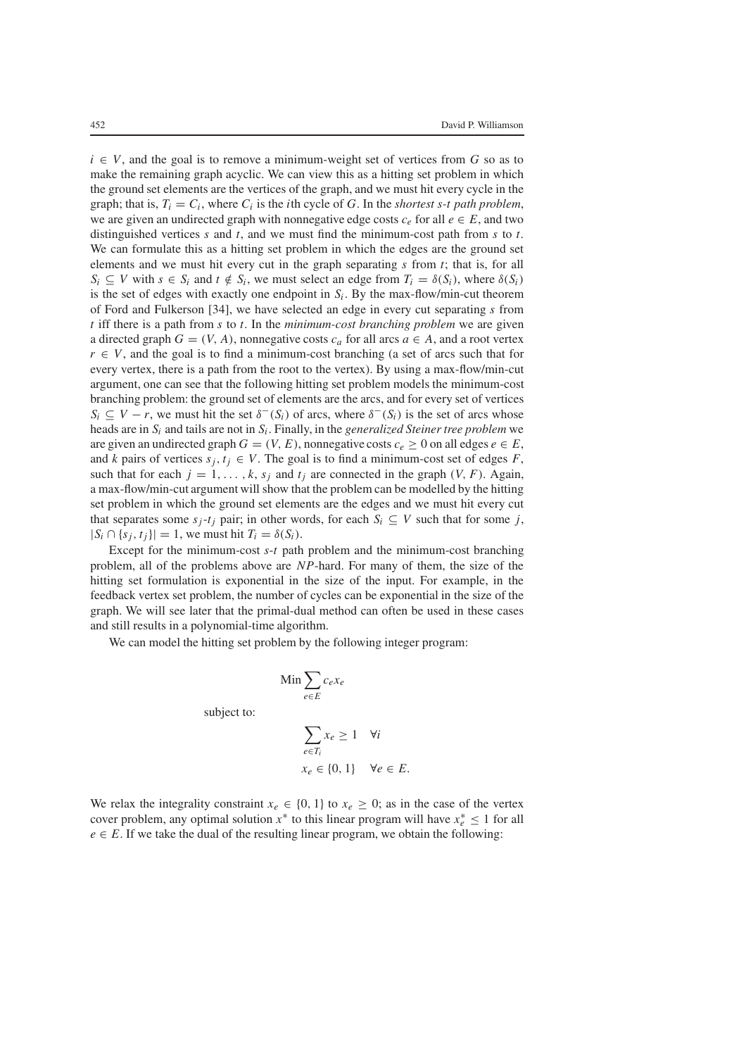$i \in V$ , and the goal is to remove a minimum-weight set of vertices from *G* so as to make the remaining graph acyclic. We can view this as a hitting set problem in which the ground set elements are the vertices of the graph, and we must hit every cycle in the graph; that is,  $T_i = C_i$ , where  $C_i$  is the *i*th cycle of G. In the *shortest s-t path problem*, we are given an undirected graph with nonnegative edge costs  $c_e$  for all  $e \in E$ , and two distinguished vertices *s* and *t*, and we must find the minimum-cost path from *s* to *t*. We can formulate this as a hitting set problem in which the edges are the ground set elements and we must hit every cut in the graph separating *s* from *t*; that is, for all  $S_i \subseteq V$  with  $s \in S_i$  and  $t \notin S_i$ , we must select an edge from  $T_i = \delta(S_i)$ , where  $\delta(S_i)$ is the set of edges with exactly one endpoint in  $S_i$ . By the max-flow/min-cut theorem of Ford and Fulkerson [34], we have selected an edge in every cut separating *s* from *t* iff there is a path from *s* to *t*. In the *minimum-cost branching problem* we are given a directed graph  $G = (V, A)$ , nonnegative costs  $c_a$  for all arcs  $a \in A$ , and a root vertex  $r \in V$ , and the goal is to find a minimum-cost branching (a set of arcs such that for every vertex, there is a path from the root to the vertex). By using a max-flow/min-cut argument, one can see that the following hitting set problem models the minimum-cost branching problem: the ground set of elements are the arcs, and for every set of vertices  $S_i \subseteq V - r$ , we must hit the set  $\delta^-(S_i)$  of arcs, where  $\delta^-(S_i)$  is the set of arcs whose heads are in *Si* and tails are not in *Si*. Finally, in the *generalized Steiner tree problem* we are given an undirected graph  $G = (V, E)$ , nonnegative costs  $c_e \ge 0$  on all edges  $e \in E$ , and *k* pairs of vertices  $s_i, t_i \in V$ . The goal is to find a minimum-cost set of edges *F*, such that for each  $j = 1, \ldots, k$ ,  $s_j$  and  $t_j$  are connected in the graph  $(V, F)$ . Again, a max-flow/min-cut argument will show that the problem can be modelled by the hitting set problem in which the ground set elements are the edges and we must hit every cut that separates some  $s_i$ -*t<sub>i</sub>* pair; in other words, for each  $S_i \subseteq V$  such that for some *j*,  $|S_i \cap \{s_i, t_i\}| = 1$ , we must hit  $T_i = \delta(S_i)$ .

Except for the minimum-cost *s*-*t* path problem and the minimum-cost branching problem, all of the problems above are *NP*-hard. For many of them, the size of the hitting set formulation is exponential in the size of the input. For example, in the feedback vertex set problem, the number of cycles can be exponential in the size of the graph. We will see later that the primal-dual method can often be used in these cases and still results in a polynomial-time algorithm.

We can model the hitting set problem by the following integer program:

$$
\text{Min} \sum_{e \in E} c_e x_e
$$

subject to:

$$
\sum_{e \in T_i} x_e \ge 1 \quad \forall i
$$
  

$$
x_e \in \{0, 1\} \quad \forall e \in E.
$$

We relax the integrality constraint  $x_e \in \{0, 1\}$  to  $x_e \geq 0$ ; as in the case of the vertex cover problem, any optimal solution  $x^*$  to this linear program will have  $x_e^* \leq 1$  for all  $e \in E$ . If we take the dual of the resulting linear program, we obtain the following: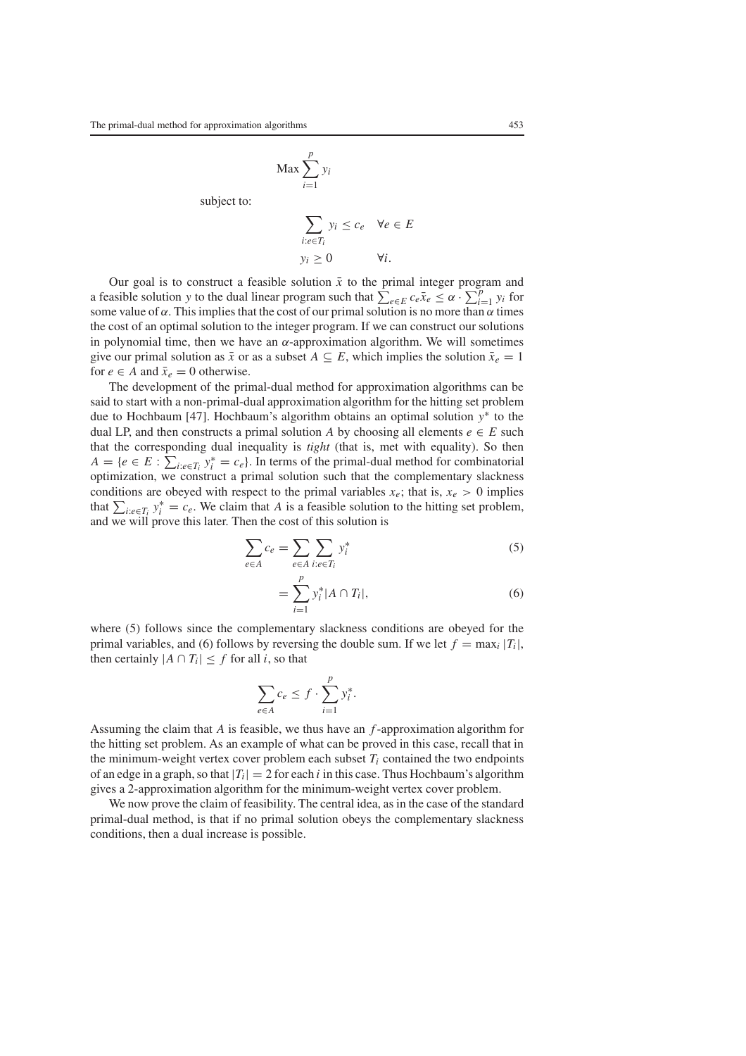$$
\text{Max} \sum_{i=1}^{p} y_i
$$

subject to:

$$
\sum_{i:e\in T_i} y_i \le c_e \quad \forall e \in E
$$
  

$$
y_i \ge 0 \qquad \forall i.
$$

Our goal is to construct a feasible solution  $\bar{x}$  to the primal integer program and a feasible solution *y* to the dual linear program such that  $\sum_{e \in E} c_e \bar{x}_e \leq \alpha \cdot \sum_{i=1}^p y_i$  for some value of  $\alpha$ . This implies that the cost of our primal solution is no more than  $\alpha$  times the cost of an optimal solution to the integer program. If we can construct our solutions in polynomial time, then we have an  $\alpha$ -approximation algorithm. We will sometimes give our primal solution as  $\bar{x}$  or as a subset  $A \subseteq E$ , which implies the solution  $\bar{x}_e = 1$ for  $e \in A$  and  $\bar{x}_e = 0$  otherwise.

The development of the primal-dual method for approximation algorithms can be said to start with a non-primal-dual approximation algorithm for the hitting set problem due to Hochbaum [47]. Hochbaum's algorithm obtains an optimal solution *y*<sup>∗</sup> to the dual LP, and then constructs a primal solution *A* by choosing all elements  $e \in E$  such that the corresponding dual inequality is *tight* (that is, met with equality). So then  $A = \{e \in E : \sum_{i: e \in T_i} y_i^* = c_e\}$ . In terms of the primal-dual method for combinatorial optimization, we construct a primal solution such that the complementary slackness conditions are obeyed with respect to the primal variables  $x_e$ ; that is,  $x_e > 0$  implies that  $\sum_{i: e \in T_i} y_i^* = c_e$ . We claim that *A* is a feasible solution to the hitting set problem, and we will prove this later. Then the cost of this solution is

$$
\sum_{e \in A} c_e = \sum_{e \in A} \sum_{i:e \in T_i} y_i^*
$$
\n(5)

$$
= \sum_{i=1}^{p} y_i^* |A \cap T_i|, \tag{6}
$$

where (5) follows since the complementary slackness conditions are obeyed for the primal variables, and (6) follows by reversing the double sum. If we let  $f = \max_i |T_i|$ , then certainly  $|A \cap T_i| \leq f$  for all *i*, so that

$$
\sum_{e \in A} c_e \le f \cdot \sum_{i=1}^p y_i^*.
$$

Assuming the claim that *A* is feasible, we thus have an *f* -approximation algorithm for the hitting set problem. As an example of what can be proved in this case, recall that in the minimum-weight vertex cover problem each subset  $T_i$  contained the two endpoints of an edge in a graph, so that  $|T_i| = 2$  for each *i* in this case. Thus Hochbaum's algorithm gives a 2-approximation algorithm for the minimum-weight vertex cover problem.

We now prove the claim of feasibility. The central idea, as in the case of the standard primal-dual method, is that if no primal solution obeys the complementary slackness conditions, then a dual increase is possible.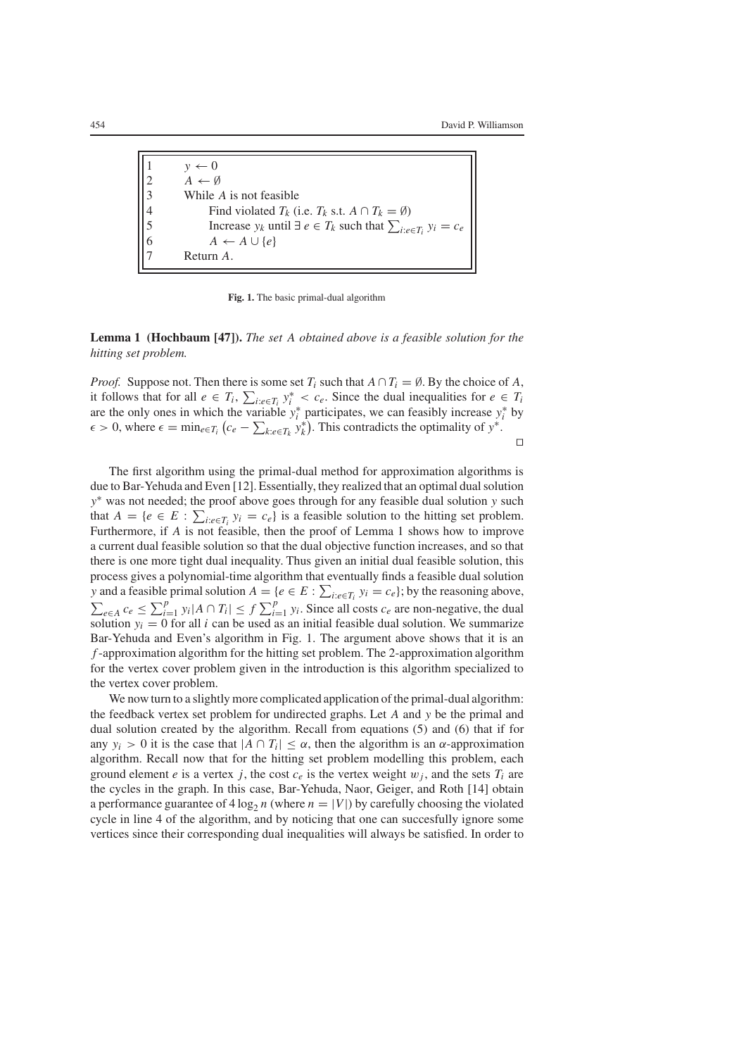$y \leftarrow 0$ 2  $A \leftarrow \emptyset$ <br>3 While 3 While *A* is not feasible 4 Find violated  $T_k$  (i.e.  $T_k$  s.t.  $A \cap T_k = \emptyset$ )<br>5 Increase  $y_k$  until  $\exists e \in T_k$  such that  $\sum_{i:e \in \emptyset}$ <br>6  $A \leftarrow A \cup \{e\}$ 5 Increase  $y_k$  until  $\exists e \in T_k$  such that  $\sum_{i: e \in T_i} y_i = c_e$  $A \leftarrow A \cup \{e\}$ 7 Return *A*.

**Fig. 1.** The basic primal-dual algorithm

**Lemma 1 (Hochbaum [47]).** *The set A obtained above is a feasible solution for the hitting set problem.*

*Proof.* Suppose not. Then there is some set  $T_i$  such that  $A \cap T_i = \emptyset$ . By the choice of A, it follows that for all  $e \in T_i$ ,  $\sum_{i: e \in T_i} y_i^* < c_e$ . Since the dual inequalities for  $e \in T_i$ are the only ones in which the variable  $y_i^*$  participates, we can feasibly increase  $y_i^*$  by  $\epsilon > 0$ , where  $\epsilon = \min_{e \in T_i} (c_e - \sum_{k: e \in T_k} y_k^*)$ . This contradicts the optimality of  $y^*$ .

 $\Box$ 

The first algorithm using the primal-dual method for approximation algorithms is due to Bar-Yehuda and Even [12]. Essentially, they realized that an optimal dual solution *y*<sup>∗</sup> was not needed; the proof above goes through for any feasible dual solution *y* such that  $A = \{e \in E : \sum_{i: e \in T_i} y_i = c_e\}$  is a feasible solution to the hitting set problem. Furthermore, if *A* is not feasible, then the proof of Lemma 1 shows how to improve a current dual feasible solution so that the dual objective function increases, and so that there is one more tight dual inequality. Thus given an initial dual feasible solution, this process gives a polynomial-time algorithm that eventually finds a feasible dual solution *y* and a feasible primal solution  $A = \{e \in E : \sum_{i: e \in T_i} y_i = c_e\}$ ; by the reasoning above,  $\sum_{e \in A} c_e$  ≤  $\sum_{i=1}^p y_i |A \cap T_i|$  ≤  $f$   $\sum_{i=1}^p y_i$ . Since all costs  $c_e$  are non-negative, the dual solution  $y_i = 0$  for all *i* can be used as an initial feasible dual solution. We summarize Bar-Yehuda and Even's algorithm in Fig. 1. The argument above shows that it is an *f* -approximation algorithm for the hitting set problem. The 2-approximation algorithm for the vertex cover problem given in the introduction is this algorithm specialized to the vertex cover problem.

We now turn to a slightly more complicated application of the primal-dual algorithm: the feedback vertex set problem for undirected graphs. Let *A* and *y* be the primal and dual solution created by the algorithm. Recall from equations (5) and (6) that if for any  $y_i > 0$  it is the case that  $|A \cap T_i| \leq \alpha$ , then the algorithm is an  $\alpha$ -approximation algorithm. Recall now that for the hitting set problem modelling this problem, each ground element *e* is a vertex *j*, the cost  $c_e$  is the vertex weight  $w_i$ , and the sets  $T_i$  are the cycles in the graph. In this case, Bar-Yehuda, Naor, Geiger, and Roth [14] obtain a performance guarantee of  $4 \log_2 n$  (where  $n = |V|$ ) by carefully choosing the violated cycle in line 4 of the algorithm, and by noticing that one can succesfully ignore some vertices since their corresponding dual inequalities will always be satisfied. In order to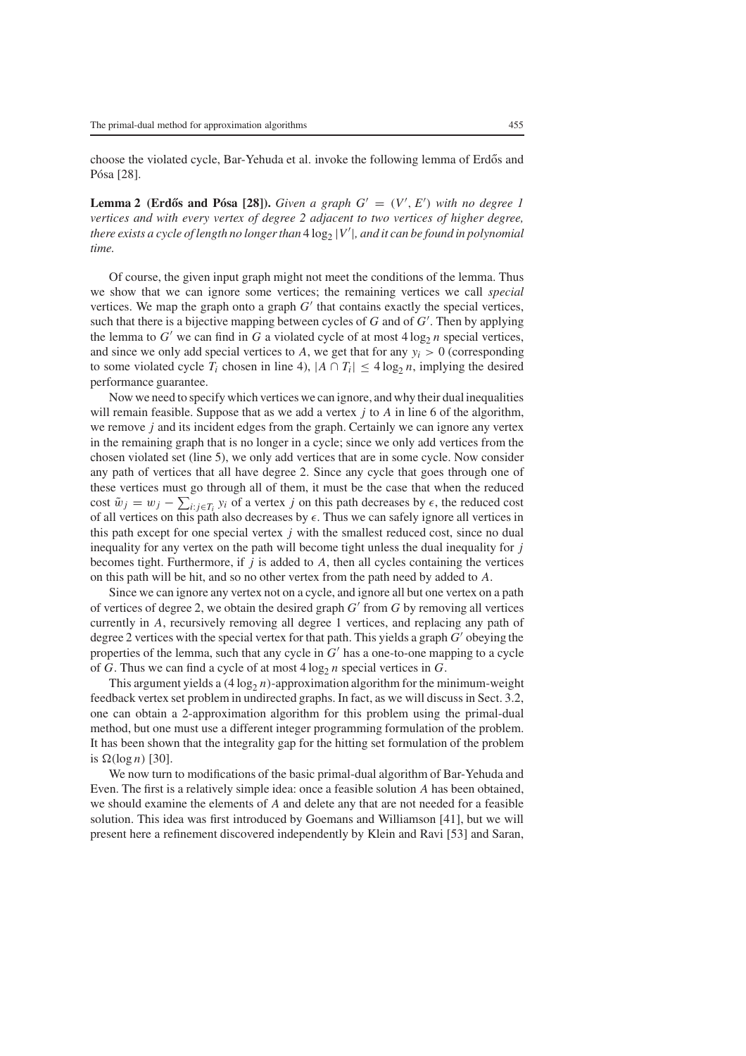choose the violated cycle, Bar-Yehuda et al. invoke the following lemma of Erdős and Pósa [28].

**Lemma 2 (Erdős and Pósa [28]).** *Given a graph*  $G' = (V', E')$  *with no degree 1 vertices and with every vertex of degree 2 adjacent to two vertices of higher degree, there exists a cycle of length no longer than*  $4\log_2|V'|$  , *and it can be found in polynomial time.*

Of course, the given input graph might not meet the conditions of the lemma. Thus we show that we can ignore some vertices; the remaining vertices we call *special* vertices. We map the graph onto a graph  $G'$  that contains exactly the special vertices, such that there is a bijective mapping between cycles of *G* and of *G* . Then by applying the lemma to  $G'$  we can find in G a violated cycle of at most  $4 \log_2 n$  special vertices, and since we only add special vertices to A, we get that for any  $y_i > 0$  (corresponding to some violated cycle  $T_i$  chosen in line 4),  $|A \cap T_i| \leq 4 \log_2 n$ , implying the desired performance guarantee.

Now we need to specify which vertices we can ignore, and why their dual inequalities will remain feasible. Suppose that as we add a vertex *j* to *A* in line 6 of the algorithm, we remove *j* and its incident edges from the graph. Certainly we can ignore any vertex in the remaining graph that is no longer in a cycle; since we only add vertices from the chosen violated set (line 5), we only add vertices that are in some cycle. Now consider any path of vertices that all have degree 2. Since any cycle that goes through one of these vertices must go through all of them, it must be the case that when the reduced cost  $\tilde{w}_j = w_j - \sum_{i: j \in T_i} y_i$  of a vertex *j* on this path decreases by  $\epsilon$ , the reduced cost of all vertices on this path also decreases by  $\epsilon$ . Thus we can safely ignore all vertices in this path except for one special vertex *j* with the smallest reduced cost, since no dual inequality for any vertex on the path will become tight unless the dual inequality for *j* becomes tight. Furthermore, if  $j$  is added to  $A$ , then all cycles containing the vertices on this path will be hit, and so no other vertex from the path need by added to *A*.

Since we can ignore any vertex not on a cycle, and ignore all but one vertex on a path of vertices of degree 2, we obtain the desired graph  $G'$  from  $G$  by removing all vertices currently in *A*, recursively removing all degree 1 vertices, and replacing any path of degree 2 vertices with the special vertex for that path. This yields a graph  $G'$  obeying the properties of the lemma, such that any cycle in *G* has a one-to-one mapping to a cycle of *G*. Thus we can find a cycle of at most  $4 \log_2 n$  special vertices in *G*.

This argument yields a  $(4 \log_2 n)$ -approximation algorithm for the minimum-weight feedback vertex set problem in undirected graphs. In fact, as we will discuss in Sect. 3.2, one can obtain a 2-approximation algorithm for this problem using the primal-dual method, but one must use a different integer programming formulation of the problem. It has been shown that the integrality gap for the hitting set formulation of the problem is  $\Omega(\log n)$  [30].

We now turn to modifications of the basic primal-dual algorithm of Bar-Yehuda and Even. The first is a relatively simple idea: once a feasible solution *A* has been obtained, we should examine the elements of *A* and delete any that are not needed for a feasible solution. This idea was first introduced by Goemans and Williamson [41], but we will present here a refinement discovered independently by Klein and Ravi [53] and Saran,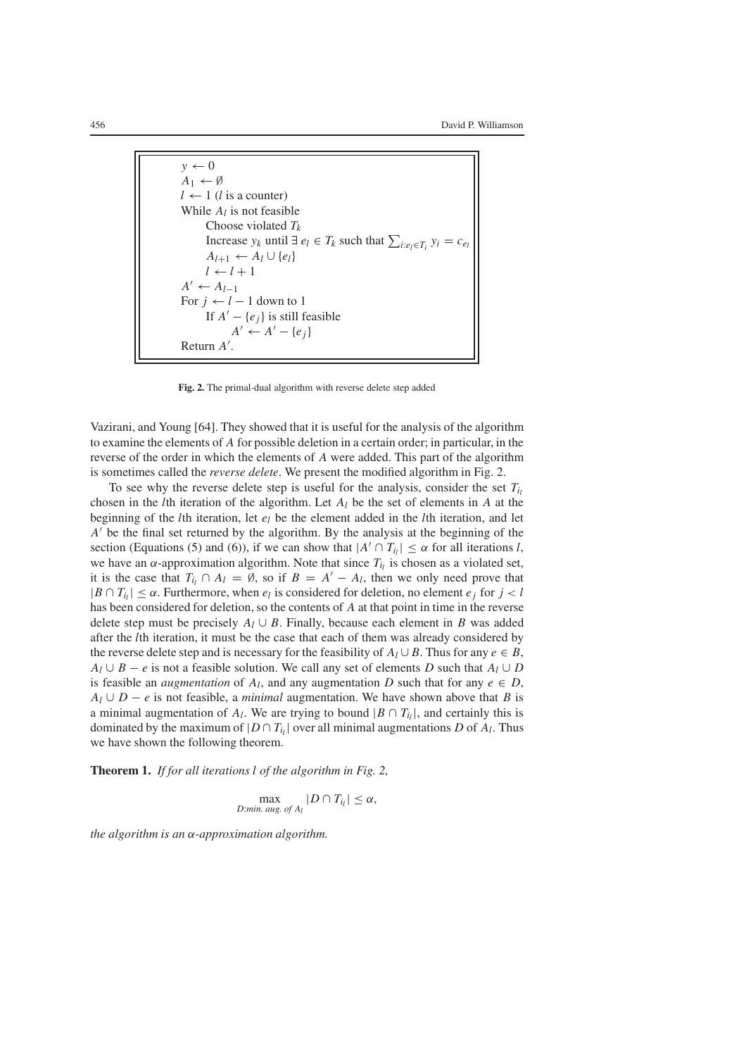$$
y \leftarrow 0
$$
  
\n $A_1 \leftarrow \emptyset$   
\n $l \leftarrow 1$  (*l* is a counter)  
\nWhile *A<sub>l</sub>* is not feasible  
\nChoose violated *T<sub>k</sub>*  
\nIncrease *y<sub>k</sub>* until  $\exists e_l \in T_k$  such that  $\sum_{i:e_l \in T_i} y_i = c_{e_l}$   
\n $A_{l+1} \leftarrow A_l \cup \{e_l\}$   
\n $l \leftarrow l + 1$   
\n $A' \leftarrow A_{l-1}$   
\nFor *j* ← *l* - 1 down to 1  
\nIf  $A' - \{e_j\}$  is still feasible  
\n $A' \leftarrow A' - \{e_j\}$   
\nReturn *A'*.

**Fig. 2.** The primal-dual algorithm with reverse delete step added

Vazirani, and Young [64]. They showed that it is useful for the analysis of the algorithm to examine the elements of *A* for possible deletion in a certain order; in particular, in the reverse of the order in which the elements of *A* were added. This part of the algorithm is sometimes called the *reverse delete*. We present the modified algorithm in Fig. 2.

To see why the reverse delete step is useful for the analysis, consider the set  $T_i$ chosen in the *l*th iteration of the algorithm. Let *Al* be the set of elements in *A* at the beginning of the *l*th iteration, let *el* be the element added in the *l*th iteration, and let *A*' be the final set returned by the algorithm. By the analysis at the beginning of the section (Equations (5) and (6)), if we can show that  $|A' \cap T_{i_l}| \leq \alpha$  for all iterations *l*, we have an  $\alpha$ -approximation algorithm. Note that since  $T_{i}$  is chosen as a violated set, it is the case that  $T_i \cap A_l = \emptyset$ , so if  $B = A' - A_l$ , then we only need prove that  $|B \cap T_i| \leq \alpha$ . Furthermore, when  $e_l$  is considered for deletion, no element  $e_i$  for  $j < l$ has been considered for deletion, so the contents of *A* at that point in time in the reverse delete step must be precisely  $A_l \cup B$ . Finally, because each element in *B* was added after the *l*th iteration, it must be the case that each of them was already considered by the reverse delete step and is necessary for the feasibility of  $A_l \cup B$ . Thus for any  $e \in B$ ,  $A_l \cup B - e$  is not a feasible solution. We call any set of elements *D* such that  $A_l \cup D$ is feasible an *augmentation* of  $A_l$ , and any augmentation *D* such that for any  $e \in D$ ,  $A_l \cup D - e$  is not feasible, a *minimal* augmentation. We have shown above that *B* is a minimal augmentation of  $A_l$ . We are trying to bound  $|B \cap T_i|$ , and certainly this is dominated by the maximum of  $|D \cap T_{i_l}|$  over all minimal augmentations *D* of  $A_l$ . Thus we have shown the following theorem.

**Theorem 1.** *If for all iterations l of the algorithm in Fig. 2,*

 $\max_{D:\text{min. aug. of }A_l} |D \cap T_{i_l}| \leq \alpha,$ 

*the algorithm is an* α*-approximation algorithm.*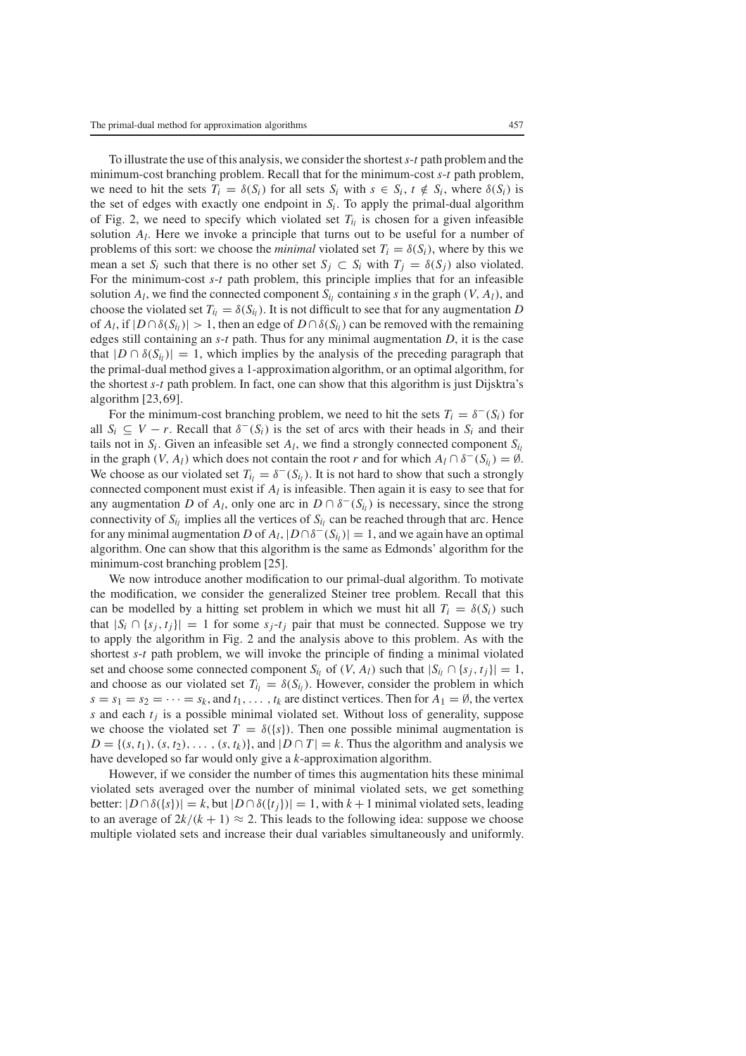To illustrate the use of this analysis, we consider the shortest*s*-*t* path problem and the minimum-cost branching problem. Recall that for the minimum-cost *s*-*t* path problem, we need to hit the sets  $T_i = \delta(S_i)$  for all sets  $S_i$  with  $s \in S_i$ ,  $t \notin S_i$ , where  $\delta(S_i)$  is the set of edges with exactly one endpoint in *Si*. To apply the primal-dual algorithm of Fig. 2, we need to specify which violated set  $T_i$  is chosen for a given infeasible solution *Al*. Here we invoke a principle that turns out to be useful for a number of problems of this sort: we choose the *minimal* violated set  $T_i = \delta(S_i)$ , where by this we mean a set  $S_i$  such that there is no other set  $S_i \subset S_i$  with  $T_i = \delta(S_i)$  also violated. For the minimum-cost *s*-*t* path problem, this principle implies that for an infeasible solution  $A_l$ , we find the connected component  $S_{li}$  containing *s* in the graph (*V*,  $A_l$ ), and choose the violated set  $T_{i} = \delta(S_{i})$ . It is not difficult to see that for any augmentation *D* of  $A_l$ , if  $|D \cap \delta(S_l)| > 1$ , then an edge of  $D \cap \delta(S_l)$  can be removed with the remaining edges still containing an *s*-*t* path. Thus for any minimal augmentation *D*, it is the case that  $|D \cap \delta(S_i)| = 1$ , which implies by the analysis of the preceding paragraph that the primal-dual method gives a 1-approximation algorithm, or an optimal algorithm, for the shortest *s*-*t* path problem. In fact, one can show that this algorithm is just Dijsktra's algorithm [23,69].

For the minimum-cost branching problem, we need to hit the sets  $T_i = \delta^-(S_i)$  for all  $S_i \subseteq V - r$ . Recall that  $\delta^-(S_i)$  is the set of arcs with their heads in  $S_i$  and their tails not in  $S_i$ . Given an infeasible set  $A_i$ , we find a strongly connected component  $S_i$ in the graph  $(V, A_l)$  which does not contain the root *r* and for which  $A_l \cap \delta^-(S_l) = \emptyset$ . We choose as our violated set  $T_{i_l} = \delta^-(S_{i_l})$ . It is not hard to show that such a strongly connected component must exist if *Al* is infeasible. Then again it is easy to see that for any augmentation *D* of *A<sub>l</sub>*, only one arc in  $D \cap \delta^-(S_i)$  is necessary, since the strong connectivity of  $S_{i_l}$  implies all the vertices of  $S_{i_l}$  can be reached through that arc. Hence for any minimal augmentation *D* of  $A_l$ ,  $|D \cap \delta^-(S_l)| = 1$ , and we again have an optimal algorithm. One can show that this algorithm is the same as Edmonds' algorithm for the minimum-cost branching problem [25].

We now introduce another modification to our primal-dual algorithm. To motivate the modification, we consider the generalized Steiner tree problem. Recall that this can be modelled by a hitting set problem in which we must hit all  $T_i = \delta(S_i)$  such that  $|S_i \cap \{s_j, t_j\}| = 1$  for some  $s_j$ - $t_j$  pair that must be connected. Suppose we try to apply the algorithm in Fig. 2 and the analysis above to this problem. As with the shortest *s*-*t* path problem, we will invoke the principle of finding a minimal violated set and choose some connected component *S<sub>il</sub>* of  $(V, A_l)$  such that  $|S_{i_l} \cap \{s_j, t_j\}| = 1$ , and choose as our violated set  $T_{ij} = \delta(S_{ij})$ . However, consider the problem in which  $s = s_1 = s_2 = \cdots = s_k$ , and  $t_1, \ldots, t_k$  are distinct vertices. Then for  $A_1 = \emptyset$ , the vertex *s* and each *tj* is a possible minimal violated set. Without loss of generality, suppose we choose the violated set  $T = \delta({s})$ . Then one possible minimal augmentation is  $D = \{(s, t_1), (s, t_2), \ldots, (s, t_k)\}\$ , and  $|D \cap T| = k$ . Thus the algorithm and analysis we have developed so far would only give a *k*-approximation algorithm.

However, if we consider the number of times this augmentation hits these minimal violated sets averaged over the number of minimal violated sets, we get something better:  $|D \cap \delta({s})| = k$ , but  $|D \cap \delta({t_i})| = 1$ , with  $k+1$  minimal violated sets, leading to an average of  $2k/(k+1) \approx 2$ . This leads to the following idea: suppose we choose multiple violated sets and increase their dual variables simultaneously and uniformly.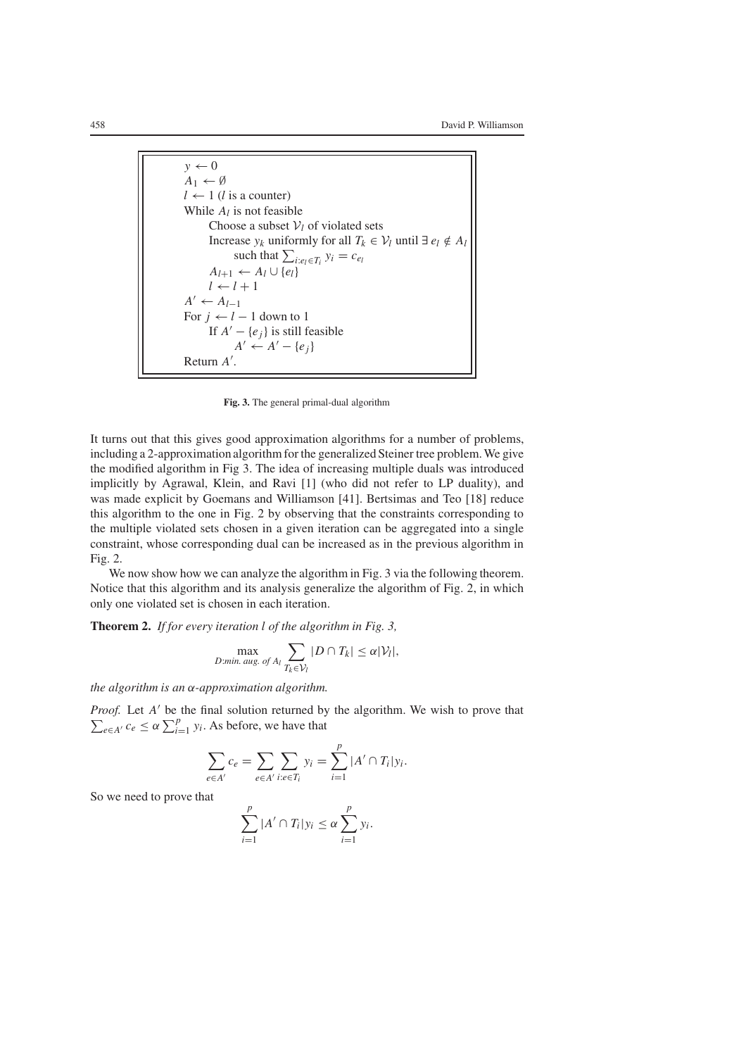$$
y \leftarrow 0
$$
  
\n $A_1 \leftarrow \emptyset$   
\n $l \leftarrow 1$  (*l* is a counter)  
\nWhile  $A_l$  is not feasible  
\nChoose a subset  $V_l$  of violated sets  
\nIncreasing  $y_k$  uniformly for all  $T_k \in V_l$  until  $\exists e_l \notin A_l$   
\nsuch that  $\sum_{i:e_l \in T_i} y_i = c_{e_l}$   
\n $A_{l+1} \leftarrow A_l \cup \{e_l\}$   
\n $l \leftarrow l + 1$   
\nA' ← A<sub>l-1</sub>  
\nFor  $j \leftarrow l - 1$  down to 1  
\nIf  $A' - \{e_j\}$  is still feasible  
\n $A' \leftarrow A' - \{e_j\}$   
\nReturn A'.

**Fig. 3.** The general primal-dual algorithm

It turns out that this gives good approximation algorithms for a number of problems, including a 2-approximation algorithm for the generalized Steiner tree problem. We give the modified algorithm in Fig 3. The idea of increasing multiple duals was introduced implicitly by Agrawal, Klein, and Ravi [1] (who did not refer to LP duality), and was made explicit by Goemans and Williamson [41]. Bertsimas and Teo [18] reduce this algorithm to the one in Fig. 2 by observing that the constraints corresponding to the multiple violated sets chosen in a given iteration can be aggregated into a single constraint, whose corresponding dual can be increased as in the previous algorithm in Fig. 2.

We now show how we can analyze the algorithm in Fig. 3 via the following theorem. Notice that this algorithm and its analysis generalize the algorithm of Fig. 2, in which only one violated set is chosen in each iteration.

**Theorem 2.** *If for every iteration l of the algorithm in Fig. 3,*

$$
\max_{D:\text{min. aug. of }A_l} \sum_{T_k \in \mathcal{V}_l} |D \cap T_k| \leq \alpha |\mathcal{V}_l|,
$$

*the algorithm is an* α*-approximation algorithm.*

Proof. Let A' be the final solution returned by the algorithm. We wish to prove that  $\sum_{e \in A'} c_e \leq \alpha \sum_{i=1}^p y_i$ . As before, we have that

$$
\sum_{e \in A'} c_e = \sum_{e \in A'} \sum_{i:e \in T_i} y_i = \sum_{i=1}^p |A' \cap T_i| y_i.
$$

So we need to prove that

$$
\sum_{i=1}^p |A' \cap T_i| y_i \leq \alpha \sum_{i=1}^p y_i.
$$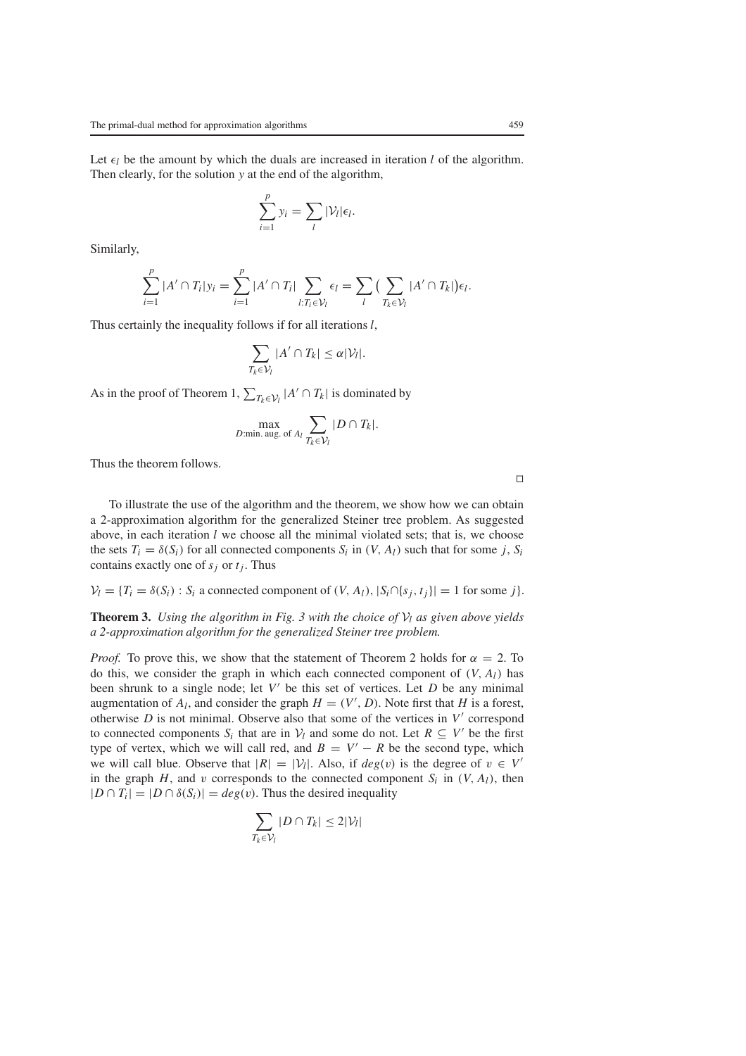Let  $\epsilon_l$  be the amount by which the duals are increased in iteration *l* of the algorithm. Then clearly, for the solution *y* at the end of the algorithm,

$$
\sum_{i=1}^p y_i = \sum_l |\mathcal{V}_l| \epsilon_l.
$$

Similarly,

$$
\sum_{i=1}^p |A' \cap T_i| y_i = \sum_{i=1}^p |A' \cap T_i| \sum_{l:T_i \in \mathcal{V}_l} \epsilon_l = \sum_l \big(\sum_{T_k \in \mathcal{V}_l} |A' \cap T_k|\big) \epsilon_l.
$$

Thus certainly the inequality follows if for all iterations *l*,

$$
\sum_{T_k\in\mathcal{V}_l}|A'\cap T_k|\leq \alpha|\mathcal{V}_l|.
$$

As in the proof of Theorem 1,  $\sum_{T_k \in \mathcal{V}_l} |A' \cap T_k|$  is dominated by

$$
\max_{D:\min.\text{ aug. of }A_l}\sum_{T_k\in\mathcal{V}_l}|D\cap T_k|.
$$

Thus the theorem follows.

To illustrate the use of the algorithm and the theorem, we show how we can obtain a 2-approximation algorithm for the generalized Steiner tree problem. As suggested above, in each iteration *l* we choose all the minimal violated sets; that is, we choose the sets  $T_i = \delta(S_i)$  for all connected components  $S_i$  in  $(V, A_i)$  such that for some *j*,  $S_i$ contains exactly one of  $s_j$  or  $t_j$ . Thus

 $V_l = \{T_i = \delta(S_i) : S_i$  a connected component of  $(V, A_l), |S_i \cap \{s_j, t_j\}| = 1$  for some *j*.

**Theorem 3.** *Using the algorithm in Fig. 3 with the choice of* V*<sup>l</sup> as given above yields a 2-approximation algorithm for the generalized Steiner tree problem.*

*Proof.* To prove this, we show that the statement of Theorem 2 holds for  $\alpha = 2$ . To do this, we consider the graph in which each connected component of  $(V, A<sub>l</sub>)$  has been shrunk to a single node; let  $V'$  be this set of vertices. Let  $D$  be any minimal augmentation of  $A_l$ , and consider the graph  $H = (V', D)$ . Note first that *H* is a forest, otherwise  $D$  is not minimal. Observe also that some of the vertices in  $V'$  correspond to connected components  $S_i$  that are in  $V_l$  and some do not. Let  $R \subseteq V'$  be the first type of vertex, which we will call red, and  $B = V' - R$  be the second type, which we will call blue. Observe that  $|R| = |V_l|$ . Also, if  $deg(v)$  is the degree of  $v \in V'$ in the graph  $H$ , and  $v$  corresponds to the connected component  $S_i$  in  $(V, A_i)$ , then  $|D \cap T_i| = |D \cap \delta(S_i)| = deg(v)$ . Thus the desired inequality

$$
\sum_{T_k \in \mathcal{V}_l} |D \cap T_k| \leq 2|\mathcal{V}_l|
$$

 $\Box$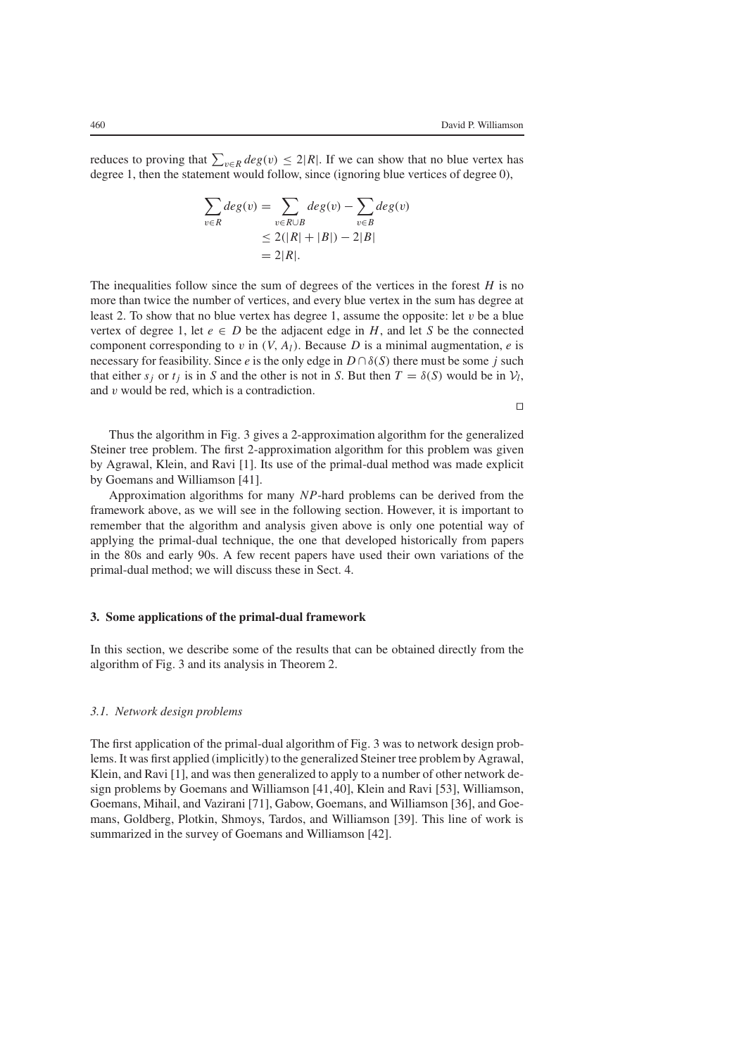reduces to proving that  $\sum_{v \in R} deg(v) \leq 2|R|$ . If we can show that no blue vertex has degree 1, then the statement would follow, since (ignoring blue vertices of degree 0),

$$
\sum_{v \in R} deg(v) = \sum_{v \in R \cup B} deg(v) - \sum_{v \in B} deg(v)
$$
  
\n
$$
\leq 2(|R| + |B|) - 2|B|
$$
  
\n
$$
= 2|R|.
$$

The inequalities follow since the sum of degrees of the vertices in the forest *H* is no more than twice the number of vertices, and every blue vertex in the sum has degree at least 2. To show that no blue vertex has degree 1, assume the opposite: let  $v$  be a blue vertex of degree 1, let  $e \in D$  be the adjacent edge in *H*, and let *S* be the connected component corresponding to v in  $(V, A<sub>l</sub>)$ . Because D is a minimal augmentation, e is necessary for feasibility. Since *e* is the only edge in  $D \cap \delta(S)$  there must be some *j* such that either *s<sub>i</sub>* or *t<sub>i</sub>* is in *S* and the other is not in *S*. But then  $T = \delta(S)$  would be in  $V_l$ , and v would be red, which is a contradiction.

 $\Box$ 

Thus the algorithm in Fig. 3 gives a 2-approximation algorithm for the generalized Steiner tree problem. The first 2-approximation algorithm for this problem was given by Agrawal, Klein, and Ravi [1]. Its use of the primal-dual method was made explicit by Goemans and Williamson [41].

Approximation algorithms for many *NP*-hard problems can be derived from the framework above, as we will see in the following section. However, it is important to remember that the algorithm and analysis given above is only one potential way of applying the primal-dual technique, the one that developed historically from papers in the 80s and early 90s. A few recent papers have used their own variations of the primal-dual method; we will discuss these in Sect. 4.

## **3. Some applications of the primal-dual framework**

In this section, we describe some of the results that can be obtained directly from the algorithm of Fig. 3 and its analysis in Theorem 2.

# *3.1. Network design problems*

The first application of the primal-dual algorithm of Fig. 3 was to network design problems. It was first applied (implicitly) to the generalized Steiner tree problem by Agrawal, Klein, and Ravi [1], and was then generalized to apply to a number of other network design problems by Goemans and Williamson [41,40], Klein and Ravi [53], Williamson, Goemans, Mihail, and Vazirani [71], Gabow, Goemans, and Williamson [36], and Goemans, Goldberg, Plotkin, Shmoys, Tardos, and Williamson [39]. This line of work is summarized in the survey of Goemans and Williamson [42].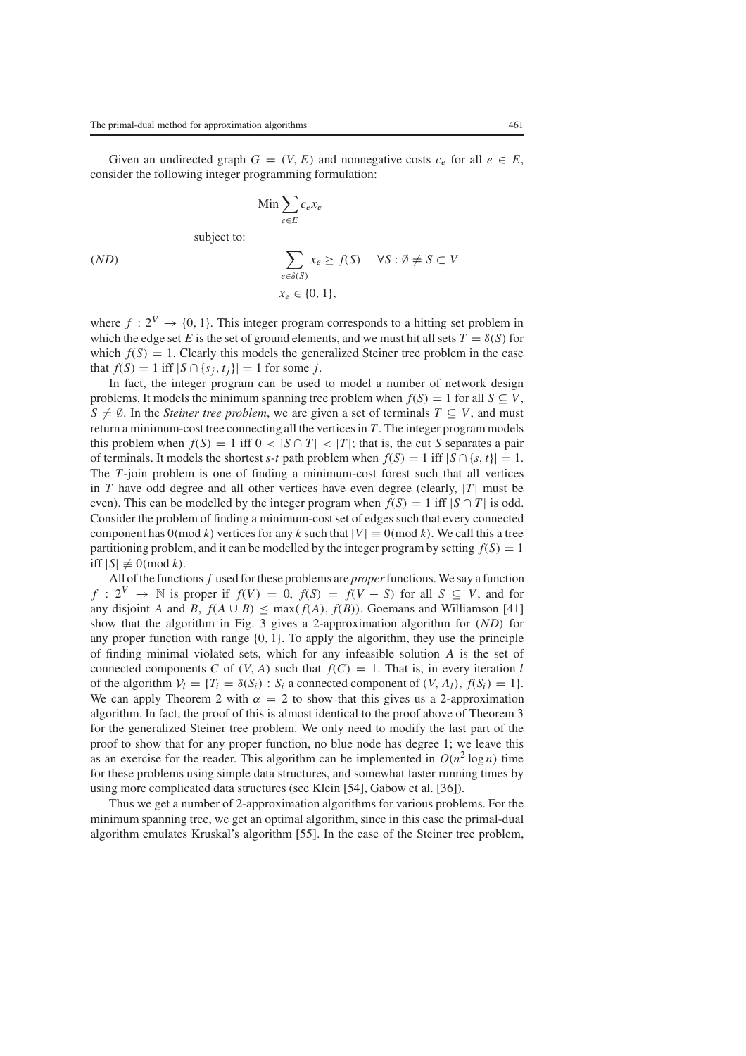Given an undirected graph  $G = (V, E)$  and nonnegative costs  $c_e$  for all  $e \in E$ , consider the following integer programming formulation:

$$
\lim \sum_{e \in E} c_e x_e
$$

subject to:

$$
(ND) \qquad \qquad \sum_{e \in \delta(S)} x_e \ge f(S) \qquad \forall S : \emptyset \ne S \subset V
$$

$$
x_e \in \{0, 1\},
$$

where  $f: 2^V \rightarrow \{0, 1\}$ . This integer program corresponds to a hitting set problem in which the edge set *E* is the set of ground elements, and we must hit all sets  $T = \delta(S)$  for which  $f(S) = 1$ . Clearly this models the generalized Steiner tree problem in the case that  $f(S) = 1$  iff  $|S \cap \{s_i, t_i\}| = 1$  for some *j*.

In fact, the integer program can be used to model a number of network design problems. It models the minimum spanning tree problem when  $f(S) = 1$  for all  $S \subseteq V$ ,  $S \neq \emptyset$ . In the *Steiner tree problem*, we are given a set of terminals  $T \subseteq V$ , and must return a minimum-cost tree connecting all the vertices in *T*. The integer program models this problem when  $f(S) = 1$  iff  $0 < |S \cap T| < |T|$ ; that is, the cut *S* separates a pair of terminals. It models the shortest *s*-*t* path problem when  $f(S) = 1$  iff  $|S \cap \{s, t\}| = 1$ . The *T*-join problem is one of finding a minimum-cost forest such that all vertices in *T* have odd degree and all other vertices have even degree (clearly, |*T*| must be even). This can be modelled by the integer program when  $f(S) = 1$  iff  $|S \cap T|$  is odd. Consider the problem of finding a minimum-cost set of edges such that every connected component has  $0(\text{mod } k)$  vertices for any k such that  $|V| \equiv 0(\text{mod } k)$ . We call this a tree partitioning problem, and it can be modelled by the integer program by setting  $f(S) = 1$ iff  $|S| \not\equiv 0 \pmod{k}$ .

All of the functions *f* used for these problems are *proper*functions. We say a function *f* :  $2^V$  → N is proper if  $f(V) = 0$ ,  $f(S) = f(V - S)$  for all  $S \subseteq V$ , and for any disjoint *A* and *B*,  $f(A \cup B) < \max(f(A), f(B))$ . Goemans and Williamson [41] show that the algorithm in Fig. 3 gives a 2-approximation algorithm for (*ND*) for any proper function with range {0, 1}. To apply the algorithm, they use the principle of finding minimal violated sets, which for any infeasible solution *A* is the set of connected components *C* of  $(V, A)$  such that  $f(C) = 1$ . That is, in every iteration *l* of the algorithm  $V_l = \{T_i = \delta(S_i) : S_i$  a connected component of  $(V, A_l)$ ,  $f(S_i) = 1\}$ . We can apply Theorem 2 with  $\alpha = 2$  to show that this gives us a 2-approximation algorithm. In fact, the proof of this is almost identical to the proof above of Theorem 3 for the generalized Steiner tree problem. We only need to modify the last part of the proof to show that for any proper function, no blue node has degree 1; we leave this as an exercise for the reader. This algorithm can be implemented in  $O(n^2 \log n)$  time for these problems using simple data structures, and somewhat faster running times by using more complicated data structures (see Klein [54], Gabow et al. [36]).

Thus we get a number of 2-approximation algorithms for various problems. For the minimum spanning tree, we get an optimal algorithm, since in this case the primal-dual algorithm emulates Kruskal's algorithm [55]. In the case of the Steiner tree problem,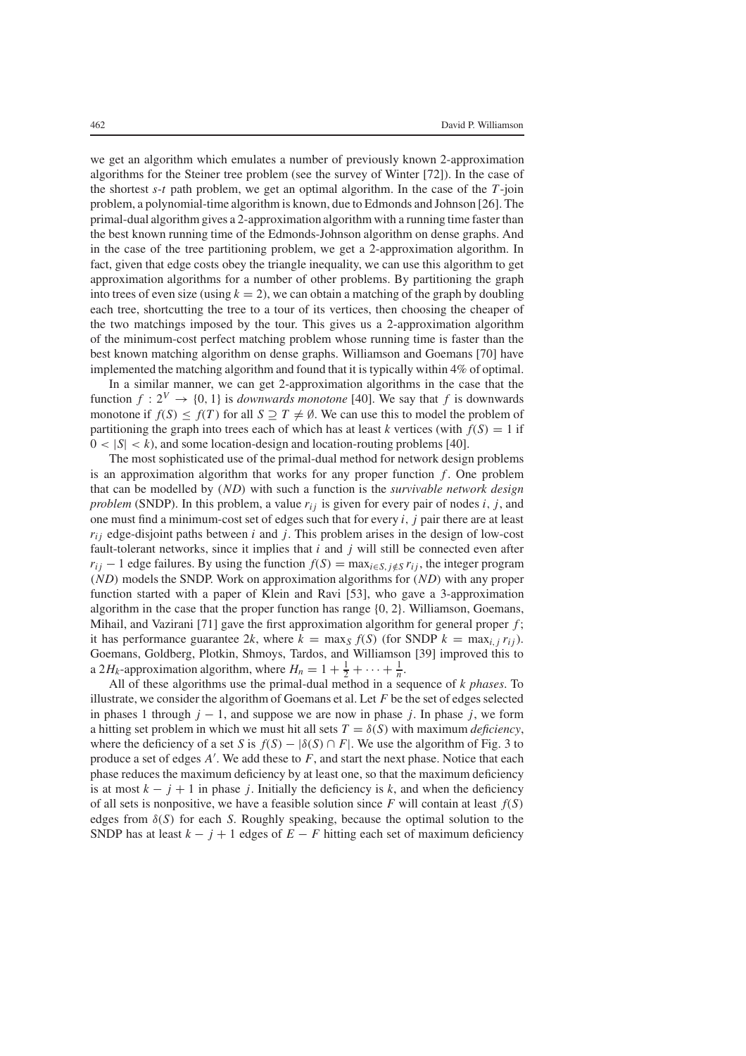we get an algorithm which emulates a number of previously known 2-approximation algorithms for the Steiner tree problem (see the survey of Winter [72]). In the case of the shortest *s*-*t* path problem, we get an optimal algorithm. In the case of the *T*-join problem, a polynomial-time algorithm is known, due to Edmonds and Johnson [26]. The primal-dual algorithm gives a 2-approximation algorithm with a running time faster than the best known running time of the Edmonds-Johnson algorithm on dense graphs. And in the case of the tree partitioning problem, we get a 2-approximation algorithm. In fact, given that edge costs obey the triangle inequality, we can use this algorithm to get approximation algorithms for a number of other problems. By partitioning the graph into trees of even size (using  $k = 2$ ), we can obtain a matching of the graph by doubling each tree, shortcutting the tree to a tour of its vertices, then choosing the cheaper of the two matchings imposed by the tour. This gives us a 2-approximation algorithm of the minimum-cost perfect matching problem whose running time is faster than the best known matching algorithm on dense graphs. Williamson and Goemans [70] have implemented the matching algorithm and found that it is typically within 4% of optimal.

In a similar manner, we can get 2-approximation algorithms in the case that the function  $f: 2^V \rightarrow \{0, 1\}$  is *downwards monotone* [40]. We say that *f* is downwards monotone if  $f(S) \leq f(T)$  for all  $S \supseteq T \neq \emptyset$ . We can use this to model the problem of partitioning the graph into trees each of which has at least *k* vertices (with  $f(S) = 1$  if  $0 < |S| < k$ ), and some location-design and location-routing problems [40].

The most sophisticated use of the primal-dual method for network design problems is an approximation algorithm that works for any proper function *f* . One problem that can be modelled by (*ND*) with such a function is the *survivable network design problem* (SNDP). In this problem, a value  $r_{ij}$  is given for every pair of nodes *i*, *j*, and one must find a minimum-cost set of edges such that for every *i*, *j* pair there are at least  $r_{ij}$  edge-disjoint paths between  $i$  and  $j$ . This problem arises in the design of low-cost fault-tolerant networks, since it implies that *i* and *j* will still be connected even after  $r_{ij}$  − 1 edge failures. By using the function  $f(S) = \max_{i \in S, i \notin S} r_{ij}$ , the integer program (*ND*) models the SNDP. Work on approximation algorithms for (*ND*) with any proper function started with a paper of Klein and Ravi [53], who gave a 3-approximation algorithm in the case that the proper function has range {0, 2}. Williamson, Goemans, Mihail, and Vazirani [71] gave the first approximation algorithm for general proper *f* ; it has performance guarantee 2*k*, where  $k = \max_{S} f(S)$  (for SNDP  $k = \max_{i,j} r_{ij}$ ). Goemans, Goldberg, Plotkin, Shmoys, Tardos, and Williamson [39] improved this to a 2*H<sub>k</sub>*-approximation algorithm, where  $H_n = 1 + \frac{1}{2} + \cdots + \frac{1}{n}$ .

All of these algorithms use the primal-dual method in a sequence of *k phases*. To illustrate, we consider the algorithm of Goemans et al. Let *F* be the set of edges selected in phases 1 through  $j - 1$ , and suppose we are now in phase *j*. In phase *j*, we form a hitting set problem in which we must hit all sets  $T = \delta(S)$  with maximum *deficiency*, where the deficiency of a set *S* is  $f(S) - |\delta(S) \cap F|$ . We use the algorithm of Fig. 3 to produce a set of edges *A* . We add these to *F*, and start the next phase. Notice that each phase reduces the maximum deficiency by at least one, so that the maximum deficiency is at most  $k - j + 1$  in phase *j*. Initially the deficiency is *k*, and when the deficiency of all sets is nonpositive, we have a feasible solution since *F* will contain at least *f*(*S*) edges from δ(*S*) for each *S*. Roughly speaking, because the optimal solution to the SNDP has at least  $k - j + 1$  edges of  $E - F$  hitting each set of maximum deficiency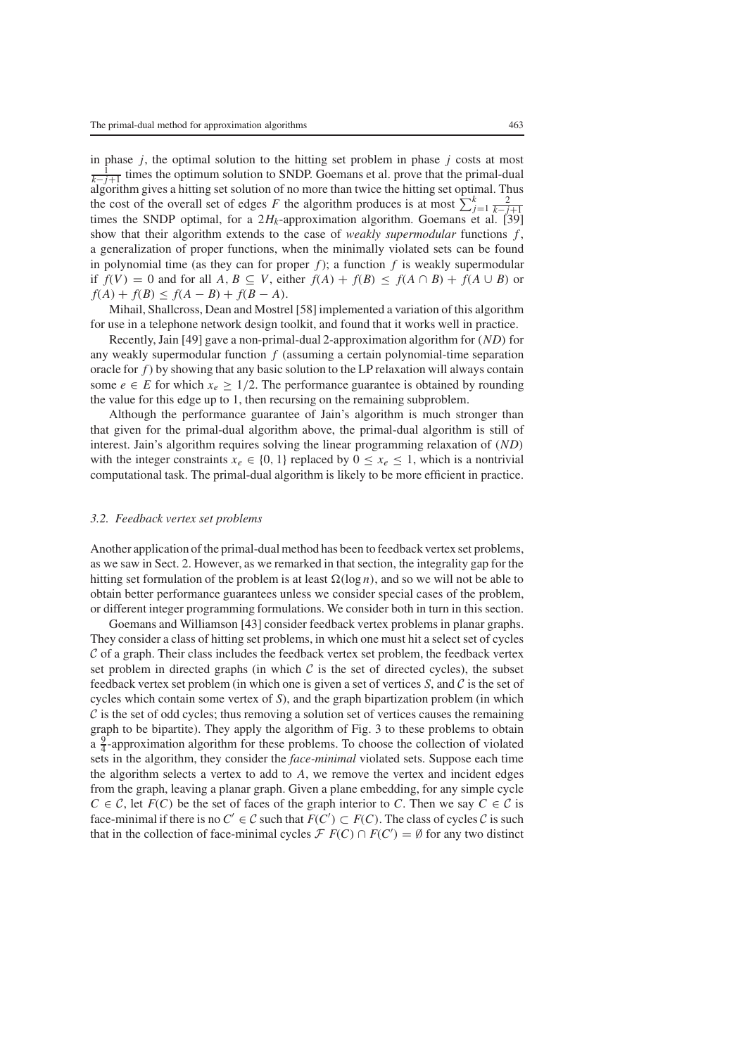in phase *j*, the optimal solution to the hitting set problem in phase *j* costs at most  $\frac{1}{k-j+1}$  times the optimum solution to SNDP. Goemans et al. prove that the primal-dual algorithm gives a hitting set solution of no more than twice the hitting set optimal. Thus the cost of the overall set of edges *F* the algorithm produces is at most  $\sum_{j=1}^{k} \frac{2}{k-j+1}$ times the SNDP optimal, for a  $2H_k$ -approximation algorithm. Goemans et al. [39] show that their algorithm extends to the case of *weakly supermodular* functions *f* , a generalization of proper functions, when the minimally violated sets can be found in polynomial time (as they can for proper  $f$ ); a function  $f$  is weakly supermodular if  $f(V) = 0$  and for all  $A, B \subseteq V$ , either  $f(A) + f(B) \le f(A \cap B) + f(A \cup B)$  or  $f(A) + f(B) \le f(A - B) + f(B - A).$ 

Mihail, Shallcross, Dean and Mostrel [58] implemented a variation of this algorithm for use in a telephone network design toolkit, and found that it works well in practice.

Recently, Jain [49] gave a non-primal-dual 2-approximation algorithm for (*ND*) for any weakly supermodular function *f* (assuming a certain polynomial-time separation oracle for *f*) by showing that any basic solution to the LP relaxation will always contain some  $e \in E$  for which  $x_e \geq 1/2$ . The performance guarantee is obtained by rounding the value for this edge up to 1, then recursing on the remaining subproblem.

Although the performance guarantee of Jain's algorithm is much stronger than that given for the primal-dual algorithm above, the primal-dual algorithm is still of interest. Jain's algorithm requires solving the linear programming relaxation of (*ND*) with the integer constraints  $x_e \in \{0, 1\}$  replaced by  $0 \le x_e \le 1$ , which is a nontrivial computational task. The primal-dual algorithm is likely to be more efficient in practice.

#### *3.2. Feedback vertex set problems*

Another application of the primal-dual method has been to feedback vertex set problems, as we saw in Sect. 2. However, as we remarked in that section, the integrality gap for the hitting set formulation of the problem is at least  $\Omega(\log n)$ , and so we will not be able to obtain better performance guarantees unless we consider special cases of the problem, or different integer programming formulations. We consider both in turn in this section.

Goemans and Williamson [43] consider feedback vertex problems in planar graphs. They consider a class of hitting set problems, in which one must hit a select set of cycles  $\mathcal C$  of a graph. Their class includes the feedback vertex set problem, the feedback vertex set problem in directed graphs (in which  $C$  is the set of directed cycles), the subset feedback vertex set problem (in which one is given a set of vertices *S*, and C is the set of cycles which contain some vertex of *S*), and the graph bipartization problem (in which  $\mathcal C$  is the set of odd cycles; thus removing a solution set of vertices causes the remaining graph to be bipartite). They apply the algorithm of Fig. 3 to these problems to obtain  $\frac{9}{4}$ -approximation algorithm for these problems. To choose the collection of violated sets in the algorithm, they consider the *face-minimal* violated sets. Suppose each time the algorithm selects a vertex to add to *A*, we remove the vertex and incident edges from the graph, leaving a planar graph. Given a plane embedding, for any simple cycle  $C \in \mathcal{C}$ , let  $F(C)$  be the set of faces of the graph interior to *C*. Then we say  $C \in \mathcal{C}$  is face-minimal if there is no  $C' \in \mathcal{C}$  such that  $F(C') \subset F(C)$ . The class of cycles  $\mathcal{C}$  is such that in the collection of face-minimal cycles  $\mathcal{F} F(C) \cap F(C') = \emptyset$  for any two distinct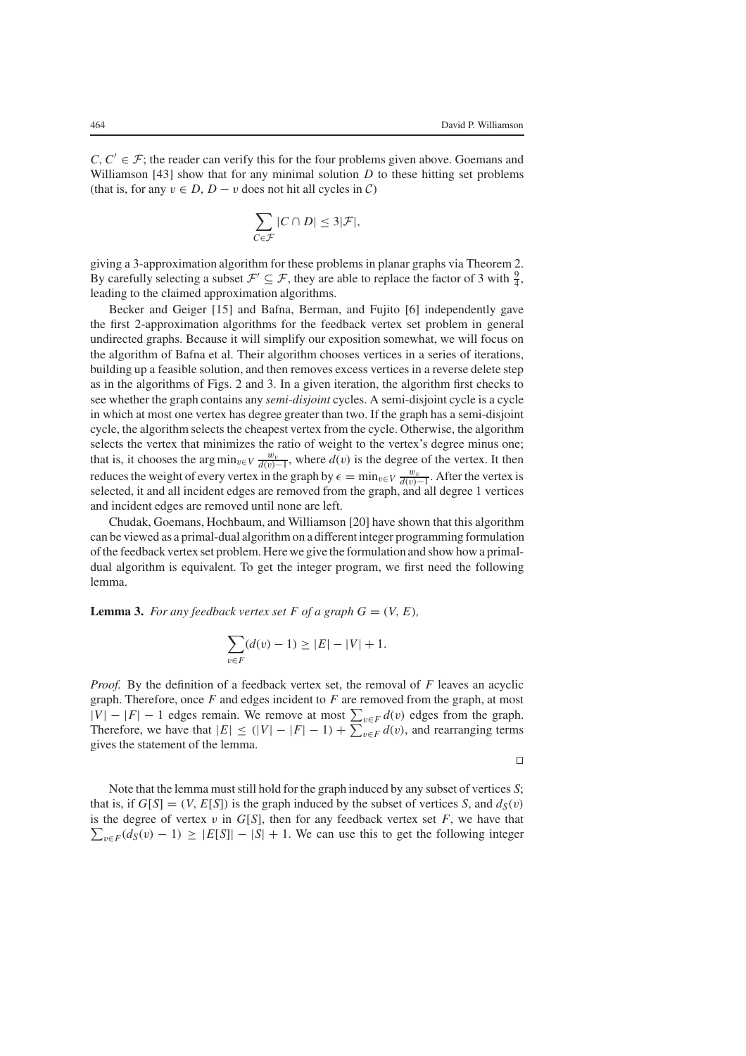$C, C' \in \mathcal{F}$ ; the reader can verify this for the four problems given above. Goemans and Williamson [43] show that for any minimal solution *D* to these hitting set problems (that is, for any  $v \in D$ ,  $D - v$  does not hit all cycles in  $C$ )

$$
\sum_{C \in \mathcal{F}} |C \cap D| \leq 3|\mathcal{F}|,
$$

giving a 3-approximation algorithm for these problems in planar graphs via Theorem 2. By carefully selecting a subset  $\mathcal{F}' \subseteq \mathcal{F}$ , they are able to replace the factor of 3 with  $\frac{9}{4}$ , leading to the claimed approximation algorithms.

Becker and Geiger [15] and Bafna, Berman, and Fujito [6] independently gave the first 2-approximation algorithms for the feedback vertex set problem in general undirected graphs. Because it will simplify our exposition somewhat, we will focus on the algorithm of Bafna et al. Their algorithm chooses vertices in a series of iterations, building up a feasible solution, and then removes excess vertices in a reverse delete step as in the algorithms of Figs. 2 and 3. In a given iteration, the algorithm first checks to see whether the graph contains any *semi-disjoint* cycles. A semi-disjoint cycle is a cycle in which at most one vertex has degree greater than two. If the graph has a semi-disjoint cycle, the algorithm selects the cheapest vertex from the cycle. Otherwise, the algorithm selects the vertex that minimizes the ratio of weight to the vertex's degree minus one; that is, it chooses the arg min<sub>v∈</sub>*V*  $\frac{w_v}{d(v)-1}$ , where  $d(v)$  is the degree of the vertex. It then reduces the weight of every vertex in the graph by  $\epsilon = \min_{v \in V} \frac{w_v}{d(v) - 1}$ . After the vertex is selected, it and all incident edges are removed from the graph, and all degree 1 vertices and incident edges are removed until none are left.

Chudak, Goemans, Hochbaum, and Williamson [20] have shown that this algorithm can be viewed as a primal-dual algorithm on a different integer programming formulation of the feedback vertex set problem. Here we give the formulation and show how a primaldual algorithm is equivalent. To get the integer program, we first need the following lemma.

**Lemma 3.** For any feedback vertex set F of a graph  $G = (V, E)$ ,

$$
\sum_{v \in F} (d(v) - 1) \ge |E| - |V| + 1.
$$

*Proof.* By the definition of a feedback vertex set, the removal of *F* leaves an acyclic graph. Therefore, once *F* and edges incident to *F* are removed from the graph, at most  $|V| - |F| - 1$  edges remain. We remove at most  $\sum_{v \in F} d(v)$  edges from the graph. Therefore, we have that  $|E| \leq (|V| - |F| - 1) + \sum_{v \in F} d(v)$ , and rearranging terms gives the statement of the lemma.

 $\Box$ 

Note that the lemma must still hold for the graph induced by any subset of vertices *S*; that is, if  $G[S] = (V, E[S])$  is the graph induced by the subset of vertices *S*, and  $d_S(v)$ is the degree of vertex  $v$  in  $G[S]$ , then for any feedback vertex set  $F$ , we have that  $\sum_{v \in F} (d_S(v) - 1) \geq |E[S]| - |S| + 1$ . We can use this to get the following integer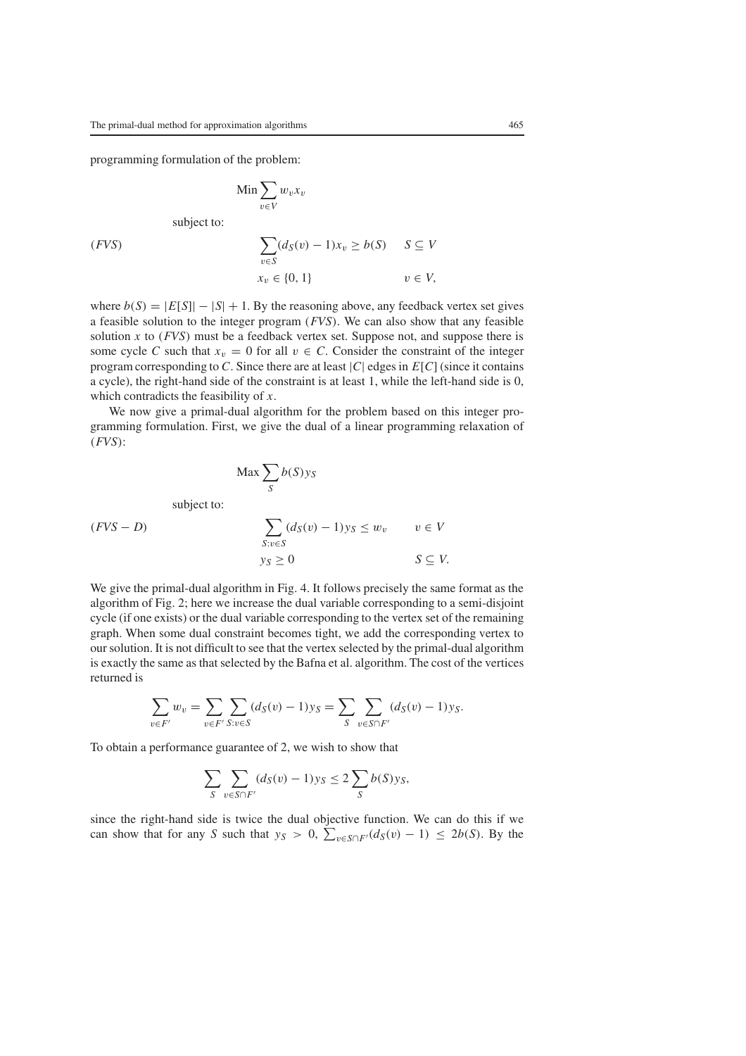programming formulation of the problem:

$$
\lim \sum_{v \in V} w_v x_v
$$
  
subject to:

(FVS)  
\n
$$
\sum_{v \in S} (d_S(v) - 1)x_v \ge b(S) \quad S \subseteq V
$$
\n
$$
x_v \in \{0, 1\} \quad v \in V,
$$

where  $b(S) = |E[S]| - |S| + 1$ . By the reasoning above, any feedback vertex set gives a feasible solution to the integer program (*FVS*). We can also show that any feasible solution *x* to (*FVS*) must be a feedback vertex set. Suppose not, and suppose there is some cycle *C* such that  $x_v = 0$  for all  $v \in C$ . Consider the constraint of the integer program corresponding to *C*. Since there are at least |*C*| edges in *E*[*C*] (since it contains a cycle), the right-hand side of the constraint is at least 1, while the left-hand side is 0, which contradicts the feasibility of *x*.

We now give a primal-dual algorithm for the problem based on this integer programming formulation. First, we give the dual of a linear programming relaxation of (*FVS*):

$$
\begin{aligned}\n\text{Max } &\sum_{S} b(S)y_{S} \\
\text{subject to:} \\
(FVS - D) &\qquad \qquad &\sum_{S:v \in S} (d_{S}(v) - 1)y_{S} \le w_{v} \qquad v \in V \\
y_{S} \ge 0 &\qquad S \subseteq V.\n\end{aligned}
$$

We give the primal-dual algorithm in Fig. 4. It follows precisely the same format as the algorithm of Fig. 2; here we increase the dual variable corresponding to a semi-disjoint cycle (if one exists) or the dual variable corresponding to the vertex set of the remaining graph. When some dual constraint becomes tight, we add the corresponding vertex to our solution. It is not difficult to see that the vertex selected by the primal-dual algorithm is exactly the same as that selected by the Bafna et al. algorithm. The cost of the vertices returned is

$$
\sum_{v \in F'} w_v = \sum_{v \in F'} \sum_{S: v \in S} (d_S(v) - 1) y_S = \sum_{S} \sum_{v \in S \cap F'} (d_S(v) - 1) y_S.
$$

To obtain a performance guarantee of 2, we wish to show that

$$
\sum_{S} \sum_{v \in S \cap F'} (d_S(v) - 1) y_S \le 2 \sum_{S} b(S) y_S,
$$

since the right-hand side is twice the dual objective function. We can do this if we can show that for any *S* such that  $y_S > 0$ ,  $\sum_{v \in S \cap F'} (d_S(v) - 1) \le 2b(S)$ . By the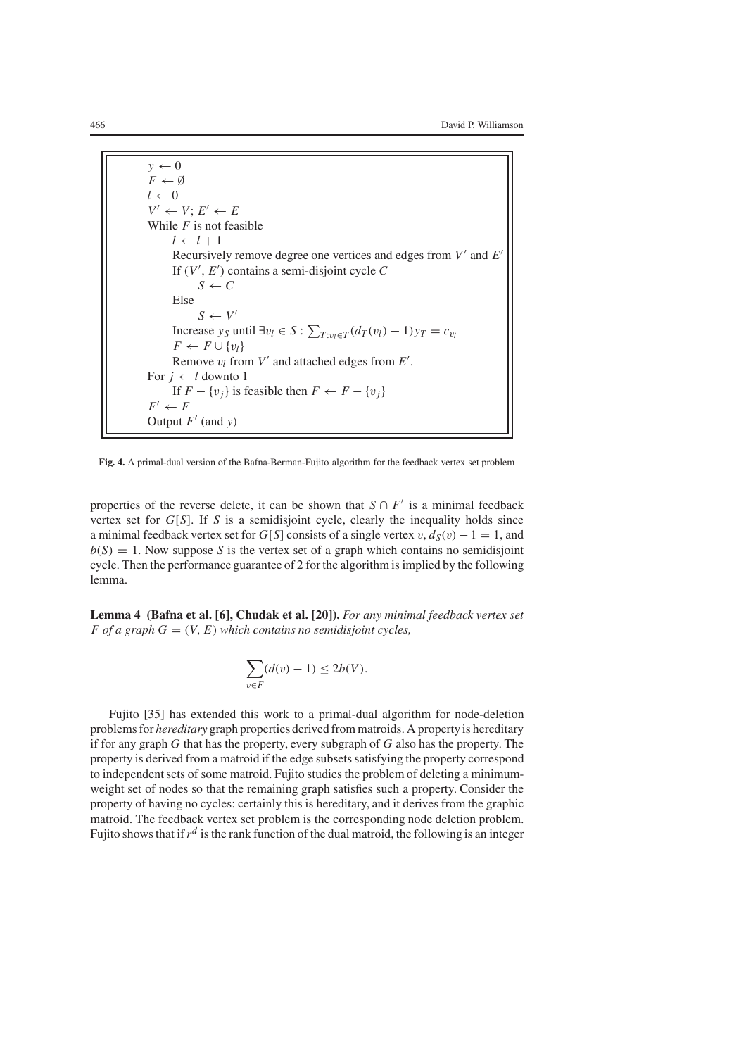$y \leftarrow 0$  $F \leftarrow \emptyset$  $l \leftarrow 0$  $V' \leftarrow V$ ;  $E' \leftarrow E$ While *F* is not feasible  $l \leftarrow l + 1$ Recursively remove degree one vertices and edges from *V* and *E* If (*V* , *E* ) contains a semi-disjoint cycle *C*  $S \leftarrow C$ Else  $S \leftarrow V'$ Increase *y<sub>S</sub>* until  $\exists v_l \in S : \sum_{T : v_l \in T} (d_T(v_l) - 1) y_T = c_{v_l}$  $F \leftarrow F \cup \{v_l\}$ Remove  $v_l$  from  $V'$  and attached edges from  $E'$ . For  $j \leftarrow l$  downto 1 If  $F - \{v_i\}$  is feasible then  $F \leftarrow F - \{v_i\}$  $F' \leftarrow F$ Output  $F'$  (and  $y$ )

**Fig. 4.** A primal-dual version of the Bafna-Berman-Fujito algorithm for the feedback vertex set problem

properties of the reverse delete, it can be shown that  $S \cap F'$  is a minimal feedback vertex set for *G*[*S*]. If *S* is a semidisjoint cycle, clearly the inequality holds since a minimal feedback vertex set for *G*[*S*] consists of a single vertex v,  $d_S(v) - 1 = 1$ , and  $b(S) = 1$ . Now suppose *S* is the vertex set of a graph which contains no semidisjoint cycle. Then the performance guarantee of 2 for the algorithm is implied by the following lemma.

**Lemma 4 (Bafna et al. [6], Chudak et al. [20]).** *For any minimal feedback vertex set F* of a graph  $G = (V, E)$  *which contains no semidisjoint cycles,* 

$$
\sum_{v \in F} (d(v) - 1) \le 2b(V).
$$

Fujito [35] has extended this work to a primal-dual algorithm for node-deletion problems for *hereditary* graph properties derived from matroids. A property is hereditary if for any graph *G* that has the property, every subgraph of *G* also has the property. The property is derived from a matroid if the edge subsets satisfying the property correspond to independent sets of some matroid. Fujito studies the problem of deleting a minimumweight set of nodes so that the remaining graph satisfies such a property. Consider the property of having no cycles: certainly this is hereditary, and it derives from the graphic matroid. The feedback vertex set problem is the corresponding node deletion problem. Fujito shows that if  $r^d$  is the rank function of the dual matroid, the following is an integer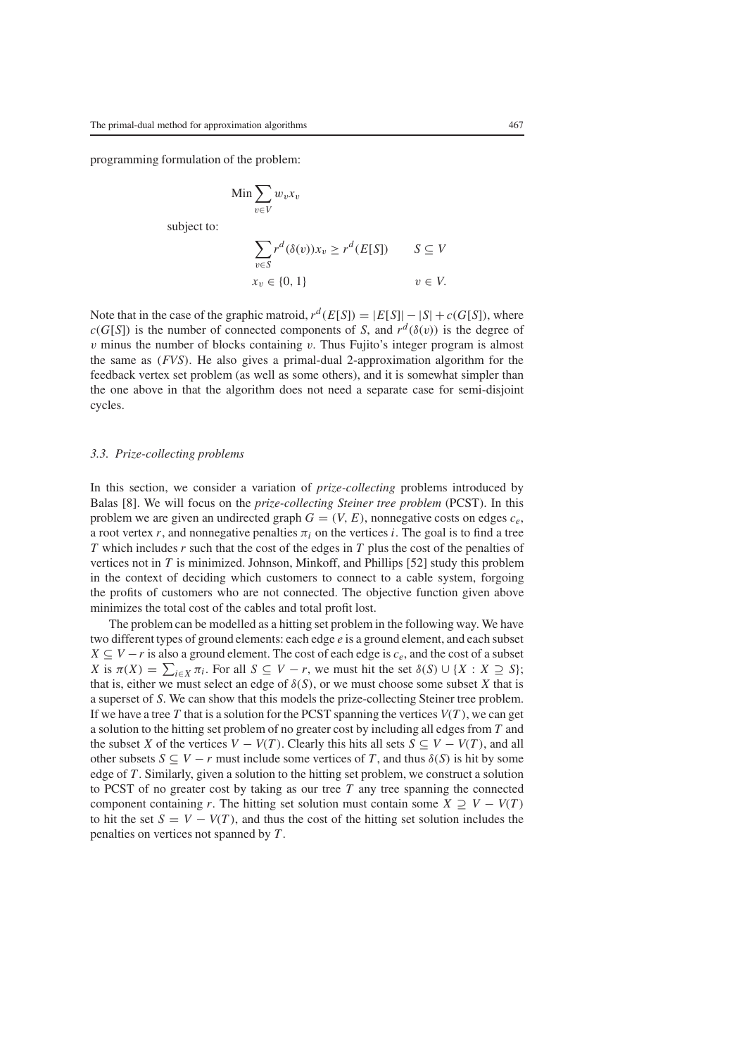programming formulation of the problem:

$$
\begin{aligned}\n\text{Min} & \sum_{v \in V} w_v x_v \\
\text{subject to:} \\
& \sum_{v \in S} r^d(\delta(v)) x_v \ge r^d(E[S]) \qquad S \subseteq V \\
& x_v \in \{0, 1\} \qquad v \in V.\n\end{aligned}
$$

Note that in the case of the graphic matroid,  $r^d(E[S]) = |E[S]| - |S| + c(G[S])$ , where  $c(G[S])$  is the number of connected components of *S*, and  $r^d(\delta(v))$  is the degree of  $v$  minus the number of blocks containing  $v$ . Thus Fujito's integer program is almost the same as (*FVS*). He also gives a primal-dual 2-approximation algorithm for the feedback vertex set problem (as well as some others), and it is somewhat simpler than the one above in that the algorithm does not need a separate case for semi-disjoint cycles.

#### *3.3. Prize-collecting problems*

In this section, we consider a variation of *prize-collecting* problems introduced by Balas [8]. We will focus on the *prize-collecting Steiner tree problem* (PCST). In this problem we are given an undirected graph  $G = (V, E)$ , nonnegative costs on edges  $c_e$ , a root vertex *r*, and nonnegative penalties  $\pi_i$  on the vertices *i*. The goal is to find a tree *T* which includes *r* such that the cost of the edges in *T* plus the cost of the penalties of vertices not in *T* is minimized. Johnson, Minkoff, and Phillips [52] study this problem in the context of deciding which customers to connect to a cable system, forgoing the profits of customers who are not connected. The objective function given above minimizes the total cost of the cables and total profit lost.

The problem can be modelled as a hitting set problem in the following way. We have two different types of ground elements: each edge *e* is a ground element, and each subset  $X \subseteq V - r$  is also a ground element. The cost of each edge is  $c_e$ , and the cost of a subset *X* is  $\pi(X) = \sum_{i \in X} \pi_i$ . For all  $S \subseteq V - r$ , we must hit the set  $\delta(S) \cup \{X : X \supseteq S\}$ ; that is, either we must select an edge of  $\delta(S)$ , or we must choose some subset *X* that is a superset of *S*. We can show that this models the prize-collecting Steiner tree problem. If we have a tree *T* that is a solution for the PCST spanning the vertices  $V(T)$ , we can get a solution to the hitting set problem of no greater cost by including all edges from *T* and the subset *X* of the vertices  $V - V(T)$ . Clearly this hits all sets  $S \subseteq V - V(T)$ , and all other subsets  $S \subseteq V - r$  must include some vertices of T, and thus  $\delta(S)$  is hit by some edge of *T*. Similarly, given a solution to the hitting set problem, we construct a solution to PCST of no greater cost by taking as our tree *T* any tree spanning the connected component containing *r*. The hitting set solution must contain some  $X \supseteq V - V(T)$ to hit the set  $S = V - V(T)$ , and thus the cost of the hitting set solution includes the penalties on vertices not spanned by *T*.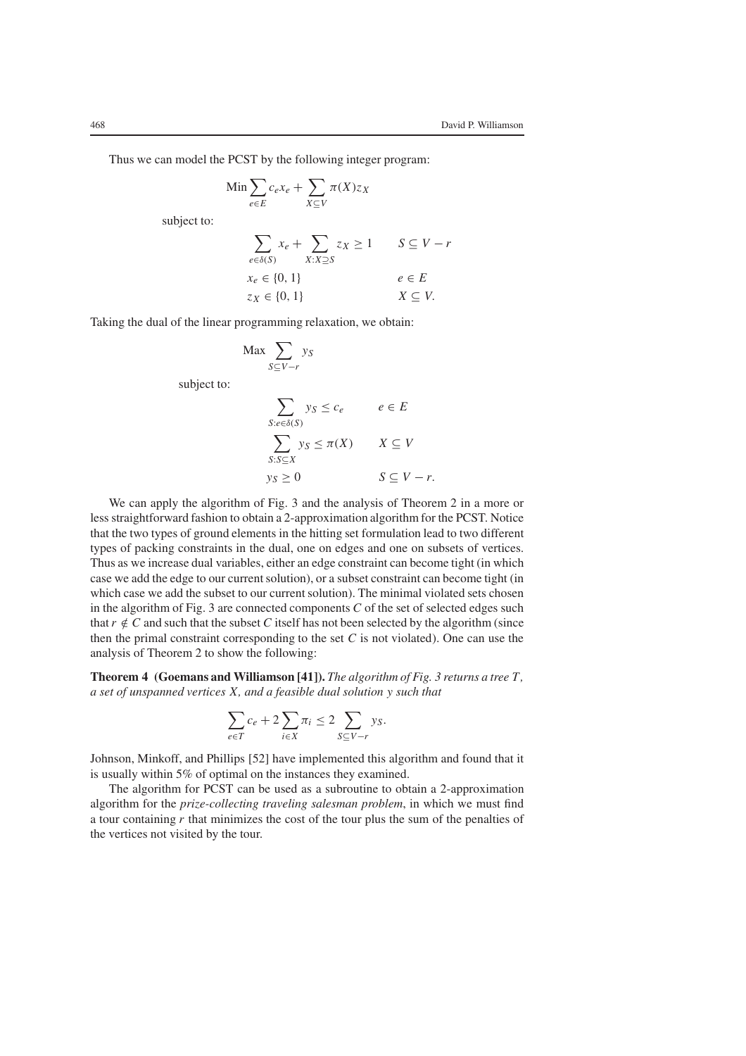Thus we can model the PCST by the following integer program:

$$
\operatorname{Min} \sum_{e \in E} c_e x_e + \sum_{X \subseteq V} \pi(X) z_X
$$

subject to:

$$
\sum_{e \in \delta(S)} x_e + \sum_{X:X \supseteq S} z_X \ge 1 \qquad S \subseteq V - r
$$
  

$$
x_e \in \{0, 1\}
$$
  

$$
z_X \in \{0, 1\}
$$
  

$$
X \subseteq V.
$$

Taking the dual of the linear programming relaxation, we obtain:

$$
\operatorname{Max} \sum_{S \subseteq V - r} y_S
$$

subject to:

$$
\sum_{S: e \in \delta(S)} y_S \le c_e \qquad e \in E
$$
  

$$
\sum_{S: S \subseteq X} y_S \le \pi(X) \qquad X \subseteq V
$$
  

$$
y_S \ge 0 \qquad S \subseteq V - r.
$$

We can apply the algorithm of Fig. 3 and the analysis of Theorem 2 in a more or less straightforward fashion to obtain a 2-approximation algorithm for the PCST. Notice that the two types of ground elements in the hitting set formulation lead to two different types of packing constraints in the dual, one on edges and one on subsets of vertices. Thus as we increase dual variables, either an edge constraint can become tight (in which case we add the edge to our current solution), or a subset constraint can become tight (in which case we add the subset to our current solution). The minimal violated sets chosen in the algorithm of Fig. 3 are connected components *C* of the set of selected edges such that  $r \notin C$  and such that the subset C itself has not been selected by the algorithm (since then the primal constraint corresponding to the set *C* is not violated). One can use the analysis of Theorem 2 to show the following:

**Theorem 4 (Goemans and Williamson [41]).** *The algorithm of Fig. 3 returns a tree T, a set of unspanned vertices X, and a feasible dual solution y such that*

$$
\sum_{e \in T} c_e + 2 \sum_{i \in X} \pi_i \le 2 \sum_{S \subseteq V - r} y_S.
$$

Johnson, Minkoff, and Phillips [52] have implemented this algorithm and found that it is usually within 5% of optimal on the instances they examined.

The algorithm for PCST can be used as a subroutine to obtain a 2-approximation algorithm for the *prize-collecting traveling salesman problem*, in which we must find a tour containing *r* that minimizes the cost of the tour plus the sum of the penalties of the vertices not visited by the tour.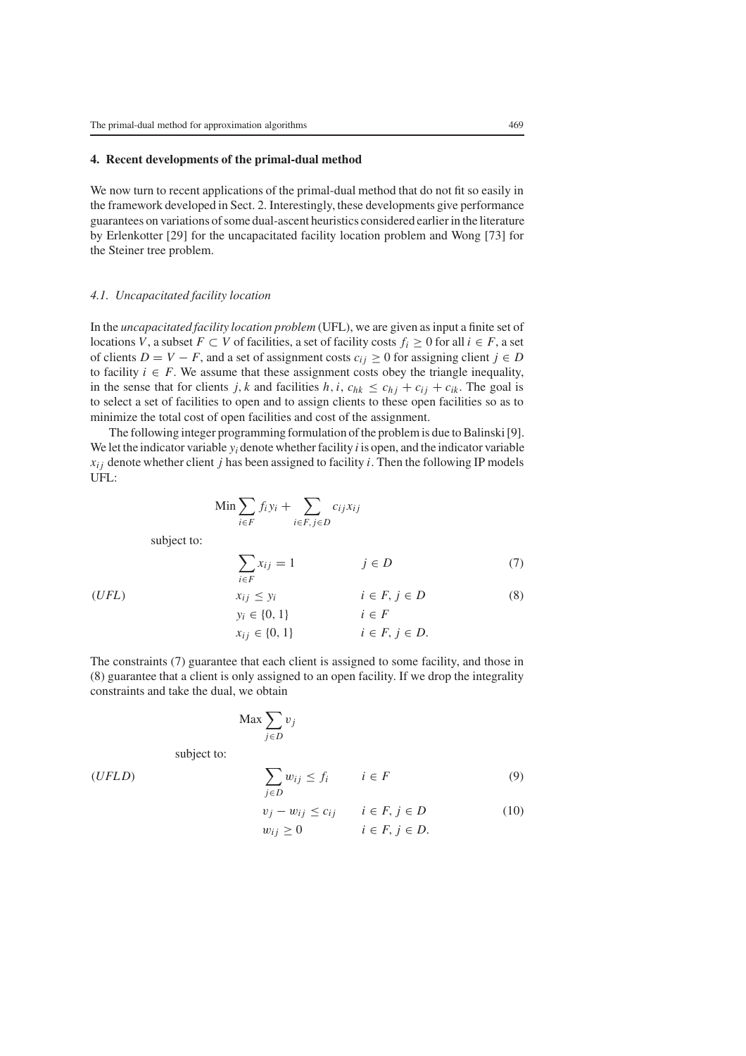## **4. Recent developments of the primal-dual method**

We now turn to recent applications of the primal-dual method that do not fit so easily in the framework developed in Sect. 2. Interestingly, these developments give performance guarantees on variations of some dual-ascent heuristics considered earlier in the literature by Erlenkotter [29] for the uncapacitated facility location problem and Wong [73] for the Steiner tree problem.

# *4.1. Uncapacitated facility location*

In the *uncapacitated facility location problem* (UFL), we are given as input a finite set of locations *V*, a subset *F* ⊂ *V* of facilities, a set of facility costs  $f_i$  ≥ 0 for all  $i \in F$ , a set of clients  $D = V - F$ , and a set of assignment costs  $c_{ij} \ge 0$  for assigning client  $j \in D$ to facility  $i \in F$ . We assume that these assignment costs obey the triangle inequality, in the sense that for clients *j*, *k* and facilities  $h, i, c_{hk} \leq c_{hj} + c_{ij} + c_{ik}$ . The goal is to select a set of facilities to open and to assign clients to these open facilities so as to minimize the total cost of open facilities and cost of the assignment.

The following integer programming formulation of the problem is due to Balinski [9]. We let the indicator variable *yi* denote whether facility *i* is open, and the indicator variable  $x_{ij}$  denote whether client *j* has been assigned to facility *i*. Then the following IP models UFL:

$$
\operatorname{Min} \sum_{i \in F} f_i y_i + \sum_{i \in F, j \in D} c_{ij} x_{ij}
$$

subject to:

$$
\sum_{i \in F} x_{ij} = 1 \qquad j \in D \tag{7}
$$

$$
(UFL) \t\t x_{ij} \le y_i \t\t i \in F, j \in D \t\t (8)
$$
  
\n
$$
y_i \in \{0, 1\} \t\t i \in F
$$
  
\n
$$
x_{ij} \in \{0, 1\} \t\t i \in F, j \in D.
$$

The constraints (7) guarantee that each client is assigned to some facility, and those in (8) guarantee that a client is only assigned to an open facility. If we drop the integrality constraints and take the dual, we obtain

$$
\text{Max} \sum_{j \in D} v_j
$$

subject to:

(*UFL D*)

$$
\sum_{j \in D} w_{ij} \le f_i \qquad i \in F \tag{9}
$$

$$
v_j - w_{ij} \le c_{ij} \qquad i \in F, j \in D
$$
  
\n
$$
w_{ij} \ge 0 \qquad i \in F, j \in D.
$$
  
\n(10)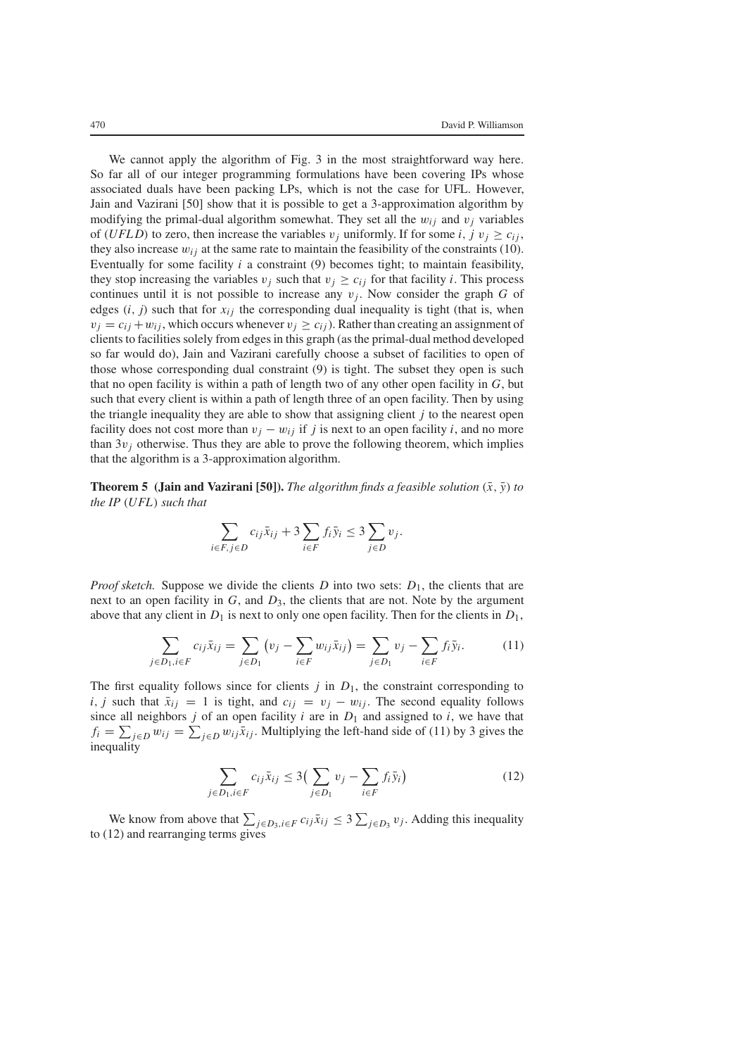We cannot apply the algorithm of Fig. 3 in the most straightforward way here. So far all of our integer programming formulations have been covering IPs whose associated duals have been packing LPs, which is not the case for UFL. However, Jain and Vazirani [50] show that it is possible to get a 3-approximation algorithm by modifying the primal-dual algorithm somewhat. They set all the  $w_{ij}$  and  $v_j$  variables of (*UFLD*) to zero, then increase the variables  $v_j$  uniformly. If for some *i*,  $j v_j \ge c_{ij}$ , they also increase  $w_{ij}$  at the same rate to maintain the feasibility of the constraints (10). Eventually for some facility *i* a constraint (9) becomes tight; to maintain feasibility, they stop increasing the variables  $v_j$  such that  $v_j \ge c_{ij}$  for that facility *i*. This process continues until it is not possible to increase any  $v_j$ . Now consider the graph  $G$  of edges  $(i, j)$  such that for  $x_{ij}$  the corresponding dual inequality is tight (that is, when  $v_i = c_{ij} + w_{ij}$ , which occurs whenever  $v_i \ge c_{ij}$ ). Rather than creating an assignment of clients to facilities solely from edges in this graph (as the primal-dual method developed so far would do), Jain and Vazirani carefully choose a subset of facilities to open of those whose corresponding dual constraint (9) is tight. The subset they open is such that no open facility is within a path of length two of any other open facility in *G*, but such that every client is within a path of length three of an open facility. Then by using the triangle inequality they are able to show that assigning client  $j$  to the nearest open facility does not cost more than  $v_i - w_{ij}$  if *j* is next to an open facility *i*, and no more than  $3v_i$  otherwise. Thus they are able to prove the following theorem, which implies that the algorithm is a 3-approximation algorithm.

**Theorem 5 (Jain and Vazirani [50]).** *The algorithm finds a feasible solution*  $(\bar{x}, \bar{y})$  *to the IP* (*UFL*) *such that*

$$
\sum_{i \in F, j \in D} c_{ij} \bar{x}_{ij} + 3 \sum_{i \in F} f_i \bar{y}_i \le 3 \sum_{j \in D} v_j.
$$

*Proof sketch.* Suppose we divide the clients *D* into two sets:  $D_1$ , the clients that are next to an open facility in *G*, and *D*3, the clients that are not. Note by the argument above that any client in  $D_1$  is next to only one open facility. Then for the clients in  $D_1$ ,

$$
\sum_{j \in D_1, i \in F} c_{ij} \bar{x}_{ij} = \sum_{j \in D_1} (v_j - \sum_{i \in F} w_{ij} \bar{x}_{ij}) = \sum_{j \in D_1} v_j - \sum_{i \in F} f_i \bar{y}_i.
$$
 (11)

The first equality follows since for clients  $j$  in  $D_1$ , the constraint corresponding to *i*, *j* such that  $\bar{x}_{ij} = 1$  is tight, and  $c_{ij} = v_j - w_{ij}$ . The second equality follows since all neighbors  $j$  of an open facility  $i$  are in  $D_1$  and assigned to  $i$ , we have that  $f_i = \sum_{j \in D} w_{ij} = \sum_{j \in D} w_{ij} \bar{x}_{ij}$ . Multiplying the left-hand side of (11) by 3 gives the inequality

$$
\sum_{j \in D_1, i \in F} c_{ij} \bar{x}_{ij} \le 3 \Big( \sum_{j \in D_1} v_j - \sum_{i \in F} f_i \bar{y}_i \Big) \tag{12}
$$

We know from above that  $\sum_{j \in D_3, i \in F} c_{ij} \bar{x}_{ij} \leq 3 \sum_{j \in D_3} v_j$ . Adding this inequality to (12) and rearranging terms gives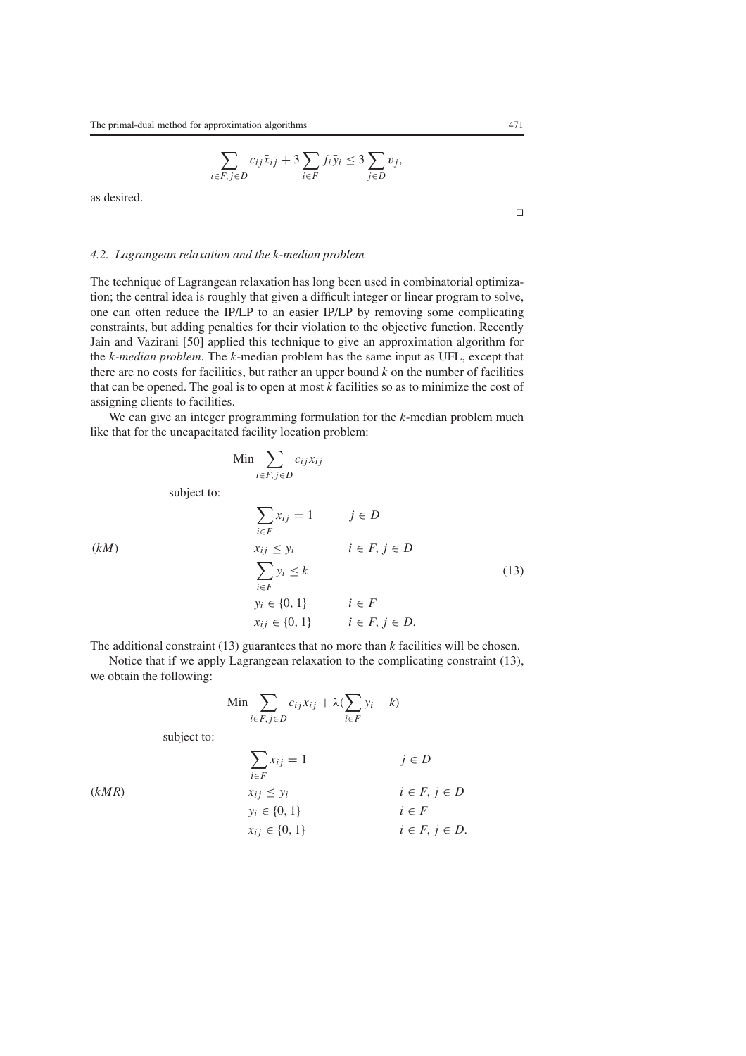$$
\sum_{i \in F, j \in D} c_{ij} \bar{x}_{ij} + 3 \sum_{i \in F} f_i \bar{y}_i \le 3 \sum_{j \in D} v_j,
$$

as desired.

#### *4.2. Lagrangean relaxation and the k-median problem*

The technique of Lagrangean relaxation has long been used in combinatorial optimization; the central idea is roughly that given a difficult integer or linear program to solve, one can often reduce the IP/LP to an easier IP/LP by removing some complicating constraints, but adding penalties for their violation to the objective function. Recently Jain and Vazirani [50] applied this technique to give an approximation algorithm for the *k-median problem*. The *k*-median problem has the same input as UFL, except that there are no costs for facilities, but rather an upper bound *k* on the number of facilities that can be opened. The goal is to open at most *k* facilities so as to minimize the cost of assigning clients to facilities.

We can give an integer programming formulation for the *k*-median problem much like that for the uncapacitated facility location problem:

$$
\text{Min} \sum_{i \in F, j \in D} c_{ij} x_{ij}
$$

subject to:

$$
\sum_{i \in F} x_{ij} = 1 \qquad j \in D
$$
\n
$$
(kM)
$$
\n
$$
x_{ij} \le y_i \qquad i \in F, j \in D
$$
\n
$$
\sum_{i \in F} y_i \le k
$$
\n
$$
y_i \in \{0, 1\} \qquad i \in F
$$
\n
$$
x_{ij} \in \{0, 1\} \qquad i \in F, j \in D.
$$
\n
$$
(13)
$$

The additional constraint (13) guarantees that no more than *k* facilities will be chosen.

Notice that if we apply Lagrangean relaxation to the complicating constraint (13), we obtain the following:

$$
\operatorname{Min} \sum_{i \in F, j \in D} c_{ij} x_{ij} + \lambda (\sum_{i \in F} y_i - k)
$$

subject to:

$$
\sum_{i \in F} x_{ij} = 1 \qquad j \in D
$$
\n
$$
(kMR) \qquad x_{ij} \le y_i \qquad i \in F, j \in D
$$
\n
$$
y_i \in \{0, 1\} \qquad i \in F
$$
\n
$$
x_{ij} \in \{0, 1\} \qquad i \in F, j \in D.
$$

 $\Box$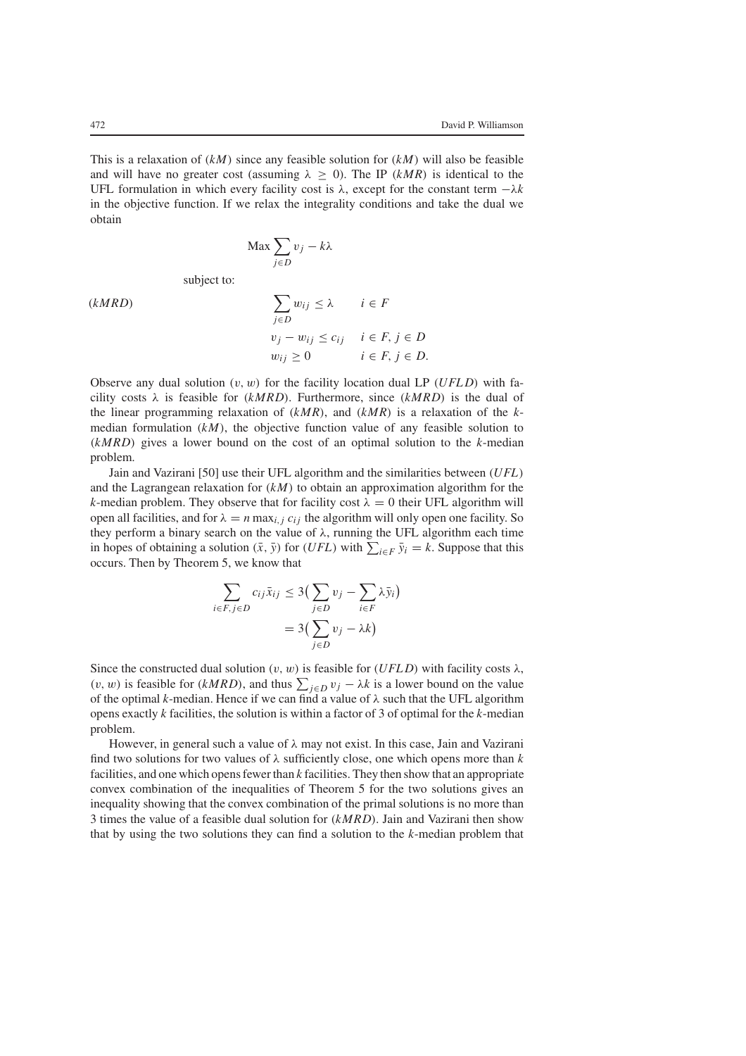This is a relaxation of (*kM*) since any feasible solution for (*kM*) will also be feasible and will have no greater cost (assuming  $\lambda \geq 0$ ). The IP (*kMR*) is identical to the UFL formulation in which every facility cost is  $\lambda$ , except for the constant term  $-\lambda k$ in the objective function. If we relax the integrality conditions and take the dual we obtain

$$
\text{Max} \sum_{j \in D} v_j - k\lambda
$$

subject to:

$$
(kMRD) \qquad \qquad \sum_{j \in D} w_{ij} \le \lambda \qquad i \in F
$$

$$
v_j - w_{ij} \le c_{ij} \qquad i \in F, j \in D
$$

$$
w_{ij} \ge 0 \qquad i \in F, j \in D.
$$

Observe any dual solution  $(v, w)$  for the facility location dual LP ( $UFLD$ ) with facility costs  $\lambda$  is feasible for ( $kMRD$ ). Furthermore, since ( $kMRD$ ) is the dual of the linear programming relaxation of (*kMR*), and (*kMR*) is a relaxation of the *k*median formulation  $(kM)$ , the objective function value of any feasible solution to (*kMRD*) gives a lower bound on the cost of an optimal solution to the *k*-median problem.

Jain and Vazirani [50] use their UFL algorithm and the similarities between (*UFL*) and the Lagrangean relaxation for (*kM*) to obtain an approximation algorithm for the *k*-median problem. They observe that for facility cost  $\lambda = 0$  their UFL algorithm will open all facilities, and for  $\lambda = n \max_{i,j} c_{ij}$  the algorithm will only open one facility. So they perform a binary search on the value of  $\lambda$ , running the UFL algorithm each time in hopes of obtaining a solution  $(\bar{x}, \bar{y})$  for (*UFL*) with  $\sum_{i \in F} \bar{y}_i = k$ . Suppose that this occurs. Then by Theorem 5, we know that

$$
\sum_{i \in F, j \in D} c_{ij} \bar{x}_{ij} \le 3 \left( \sum_{j \in D} v_j - \sum_{i \in F} \lambda \bar{y}_i \right)
$$

$$
= 3 \left( \sum_{j \in D} v_j - \lambda k \right)
$$

Since the constructed dual solution  $(v, w)$  is feasible for  $(UFLD)$  with facility costs  $\lambda$ , (*v*, *w*) is feasible for (*kMRD*), and thus  $\sum_{j \in D} v_j - \lambda k$  is a lower bound on the value of the optimal *k*-median. Hence if we can find a value of  $\lambda$  such that the UFL algorithm opens exactly *k* facilities, the solution is within a factor of 3 of optimal for the *k*-median problem.

However, in general such a value of  $\lambda$  may not exist. In this case, Jain and Vazirani find two solutions for two values of  $\lambda$  sufficiently close, one which opens more than  $k$ facilities, and one which opens fewer than *k* facilities. They then show that an appropriate convex combination of the inequalities of Theorem 5 for the two solutions gives an inequality showing that the convex combination of the primal solutions is no more than 3 times the value of a feasible dual solution for (*kMRD*). Jain and Vazirani then show that by using the two solutions they can find a solution to the *k*-median problem that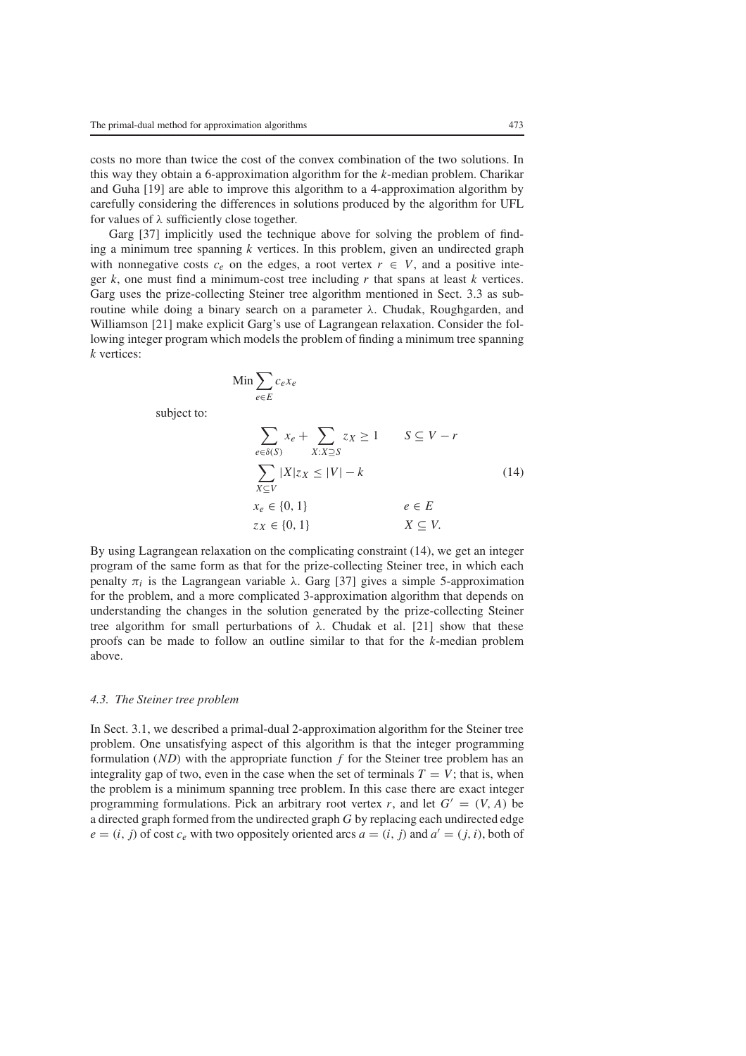costs no more than twice the cost of the convex combination of the two solutions. In this way they obtain a 6-approximation algorithm for the *k*-median problem. Charikar and Guha [19] are able to improve this algorithm to a 4-approximation algorithm by carefully considering the differences in solutions produced by the algorithm for UFL for values of  $\lambda$  sufficiently close together.

Garg [37] implicitly used the technique above for solving the problem of finding a minimum tree spanning *k* vertices. In this problem, given an undirected graph with nonnegative costs  $c_e$  on the edges, a root vertex  $r \in V$ , and a positive integer *k*, one must find a minimum-cost tree including *r* that spans at least *k* vertices. Garg uses the prize-collecting Steiner tree algorithm mentioned in Sect. 3.3 as subroutine while doing a binary search on a parameter  $λ$ . Chudak, Roughgarden, and Williamson [21] make explicit Garg's use of Lagrangean relaxation. Consider the following integer program which models the problem of finding a minimum tree spanning *k* vertices:

$$
\lim \sum_{e \in E} c_e x_e
$$

subject to:

$$
\sum_{e \in \delta(S)} x_e + \sum_{X:X \supseteq S} z_X \ge 1 \qquad S \subseteq V - r
$$
  

$$
\sum_{X \subseteq V} |X| z_X \le |V| - k
$$
  

$$
x_e \in \{0, 1\}
$$
  

$$
z_X \in \{0, 1\}
$$
  

$$
Z \subseteq V.
$$
  
(14)

By using Lagrangean relaxation on the complicating constraint (14), we get an integer program of the same form as that for the prize-collecting Steiner tree, in which each penalty  $\pi_i$  is the Lagrangean variable  $\lambda$ . Garg [37] gives a simple 5-approximation for the problem, and a more complicated 3-approximation algorithm that depends on understanding the changes in the solution generated by the prize-collecting Steiner tree algorithm for small perturbations of  $λ$ . Chudak et al. [21] show that these proofs can be made to follow an outline similar to that for the *k*-median problem above.

## *4.3. The Steiner tree problem*

In Sect. 3.1, we described a primal-dual 2-approximation algorithm for the Steiner tree problem. One unsatisfying aspect of this algorithm is that the integer programming formulation (*ND*) with the appropriate function *f* for the Steiner tree problem has an integrality gap of two, even in the case when the set of terminals  $T = V$ ; that is, when the problem is a minimum spanning tree problem. In this case there are exact integer programming formulations. Pick an arbitrary root vertex *r*, and let  $G' = (V, A)$  be a directed graph formed from the undirected graph *G* by replacing each undirected edge  $e = (i, j)$  of cost  $c_e$  with two oppositely oriented arcs  $a = (i, j)$  and  $a' = (j, i)$ , both of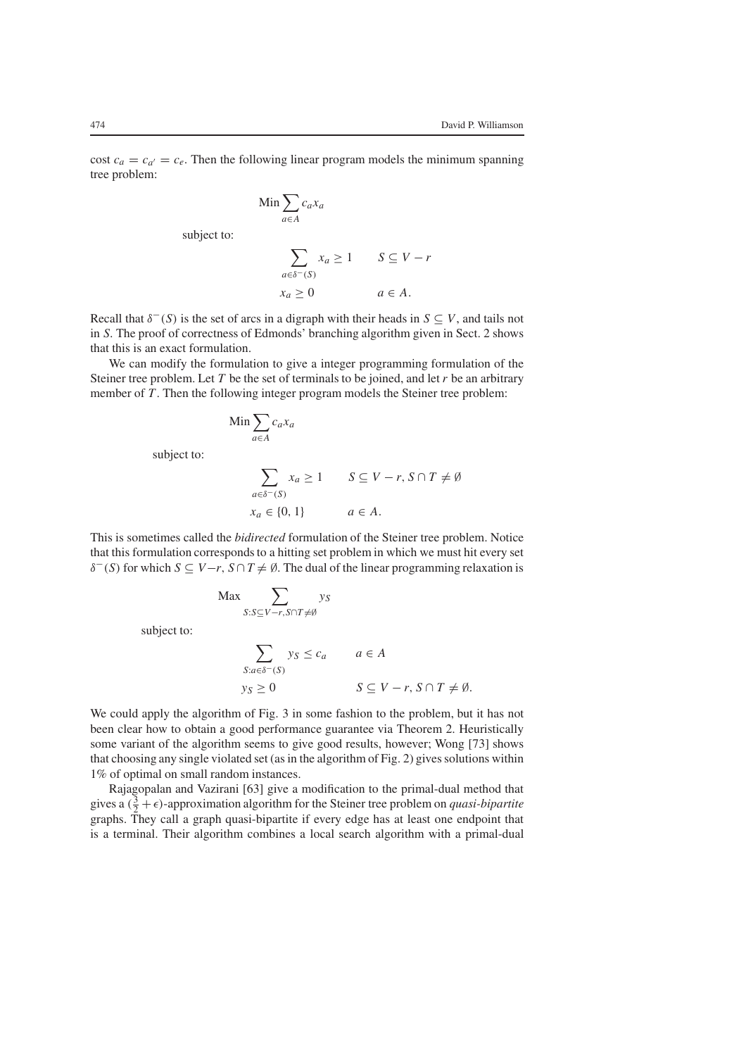cost  $c_a = c_{a'} = c_e$ . Then the following linear program models the minimum spanning tree problem:

$$
\begin{aligned}\n\text{Min} &\sum_{a \in A} c_a x_a \\
\text{subject to:} \\
&\sum_{a \in \delta^-(S)} x_a \ge 1 \qquad S \subseteq V - r \\
&\quad x_a \ge 0 \qquad a \in A.\n\end{aligned}
$$

Recall that  $\delta^-(S)$  is the set of arcs in a digraph with their heads in  $S \subseteq V$ , and tails not in *S*. The proof of correctness of Edmonds' branching algorithm given in Sect. 2 shows that this is an exact formulation.

We can modify the formulation to give a integer programming formulation of the Steiner tree problem. Let *T* be the set of terminals to be joined, and let *r* be an arbitrary member of *T*. Then the following integer program models the Steiner tree problem:

$$
\lim \sum_{a \in A} c_a x_a
$$

subject to:

$$
\sum_{a \in \delta^-(S)} x_a \ge 1 \qquad S \subseteq V - r, S \cap T \ne \emptyset
$$
  

$$
x_a \in \{0, 1\} \qquad a \in A.
$$

This is sometimes called the *bidirected* formulation of the Steiner tree problem. Notice that this formulation corresponds to a hitting set problem in which we must hit every set  $\delta^-(S)$  for which  $S \subseteq V-r$ ,  $S \cap T \neq \emptyset$ . The dual of the linear programming relaxation is

$$
\begin{aligned}\n\text{Max} \sum_{S: S \subseteq V - r, S \cap T \neq \emptyset} y_S \\
\text{subject to:} \\
\sum_{S: a \in \delta^-(S)} y_S \le c_a \qquad a \in A \\
y_S \ge 0 \qquad S \subseteq V - r, S \cap T \neq \emptyset.\n\end{aligned}
$$

We could apply the algorithm of Fig. 3 in some fashion to the problem, but it has not been clear how to obtain a good performance guarantee via Theorem 2. Heuristically some variant of the algorithm seems to give good results, however; Wong [73] shows that choosing any single violated set (as in the algorithm of Fig. 2) gives solutions within 1% of optimal on small random instances.

Rajagopalan and Vazirani [63] give a modification to the primal-dual method that gives a  $(\frac{3}{2} + \epsilon)$ -approximation algorithm for the Steiner tree problem on *quasi-bipartite* graphs. They call a graph quasi-bipartite if every edge has at least one endpoint that is a terminal. Their algorithm combines a local search algorithm with a primal-dual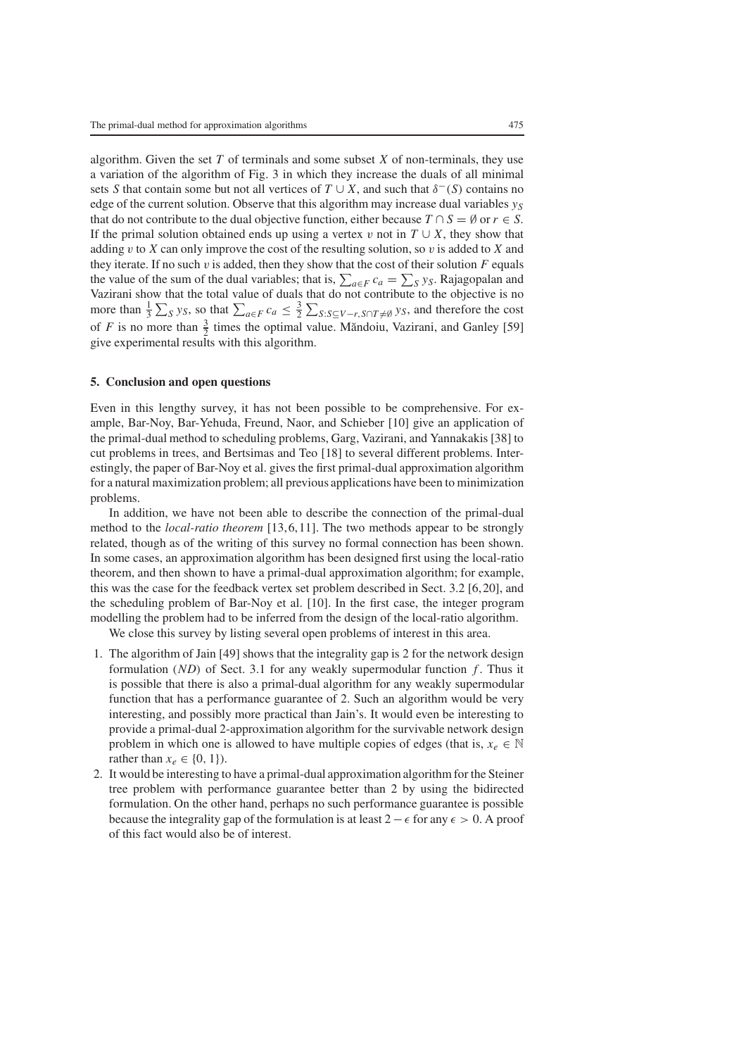algorithm. Given the set *T* of terminals and some subset *X* of non-terminals, they use a variation of the algorithm of Fig. 3 in which they increase the duals of all minimal sets *S* that contain some but not all vertices of  $T \cup X$ , and such that  $\delta^-(S)$  contains no edge of the current solution. Observe that this algorithm may increase dual variables  $y_S$ that do not contribute to the dual objective function, either because  $T \cap S = \emptyset$  or  $r \in S$ . If the primal solution obtained ends up using a vertex v not in  $T \cup X$ , they show that adding v to *X* can only improve the cost of the resulting solution, so v is added to *X* and they iterate. If no such  $v$  is added, then they show that the cost of their solution  $F$  equals the value of the sum of the dual variables; that is,  $\sum_{a \in F} c_a = \sum_S y_S$ . Rajagopalan and Vazirani show that the total value of duals that do not contribute to the objective is no more than  $\frac{1}{3} \sum_S y_S$ , so that  $\sum_{a \in F} c_a \leq \frac{3}{2} \sum_{S: S \subseteq V - r, S \cap T \neq \emptyset} y_S$ , and therefore the cost of *F* is no more than  $\frac{3}{2}$  times the optimal value. Mandoiu, Vazirani, and Ganley [59] give experimental results with this algorithm.

### **5. Conclusion and open questions**

Even in this lengthy survey, it has not been possible to be comprehensive. For example, Bar-Noy, Bar-Yehuda, Freund, Naor, and Schieber [10] give an application of the primal-dual method to scheduling problems, Garg, Vazirani, and Yannakakis [38] to cut problems in trees, and Bertsimas and Teo [18] to several different problems. Interestingly, the paper of Bar-Noy et al. gives the first primal-dual approximation algorithm for a natural maximization problem; all previous applications have been to minimization problems.

In addition, we have not been able to describe the connection of the primal-dual method to the *local-ratio theorem* [13,6,11]. The two methods appear to be strongly related, though as of the writing of this survey no formal connection has been shown. In some cases, an approximation algorithm has been designed first using the local-ratio theorem, and then shown to have a primal-dual approximation algorithm; for example, this was the case for the feedback vertex set problem described in Sect. 3.2 [6,20], and the scheduling problem of Bar-Noy et al. [10]. In the first case, the integer program modelling the problem had to be inferred from the design of the local-ratio algorithm.

We close this survey by listing several open problems of interest in this area.

- 1. The algorithm of Jain [49] shows that the integrality gap is 2 for the network design formulation (*ND*) of Sect. 3.1 for any weakly supermodular function *f* . Thus it is possible that there is also a primal-dual algorithm for any weakly supermodular function that has a performance guarantee of 2. Such an algorithm would be very interesting, and possibly more practical than Jain's. It would even be interesting to provide a primal-dual 2-approximation algorithm for the survivable network design problem in which one is allowed to have multiple copies of edges (that is,  $x_e \in \mathbb{N}$ rather than  $x_e \in \{0, 1\}$ .
- 2. It would be interesting to have a primal-dual approximation algorithm for the Steiner tree problem with performance guarantee better than 2 by using the bidirected formulation. On the other hand, perhaps no such performance guarantee is possible because the integrality gap of the formulation is at least  $2 - \epsilon$  for any  $\epsilon > 0$ . A proof of this fact would also be of interest.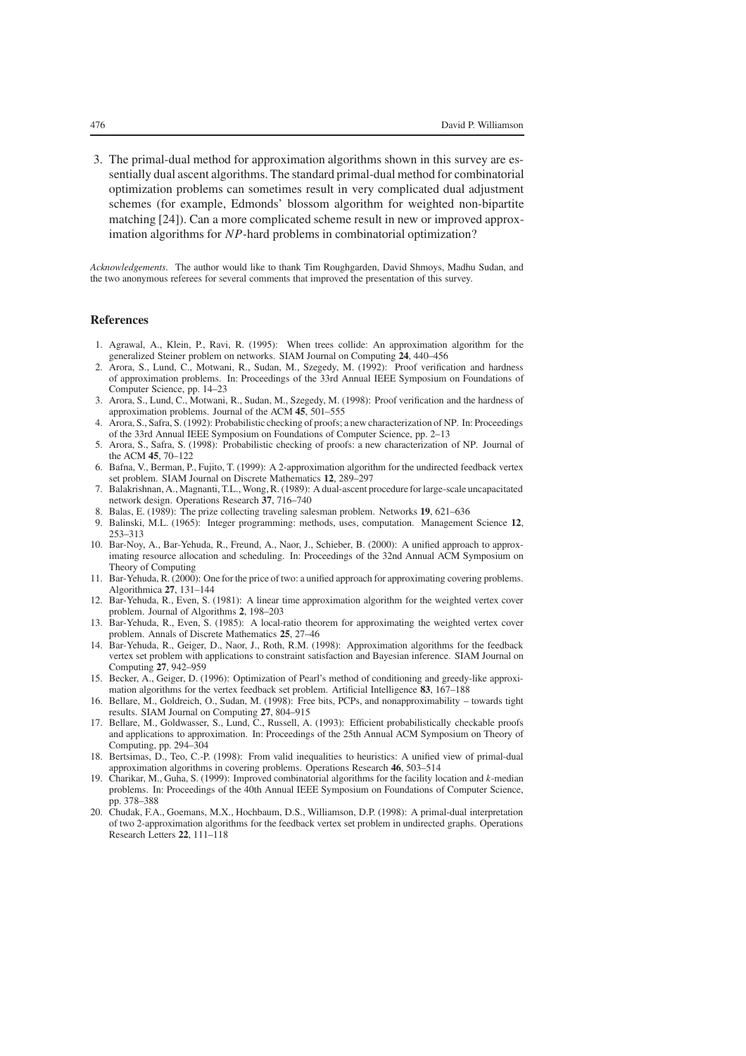3. The primal-dual method for approximation algorithms shown in this survey are essentially dual ascent algorithms. The standard primal-dual method for combinatorial optimization problems can sometimes result in very complicated dual adjustment schemes (for example, Edmonds' blossom algorithm for weighted non-bipartite matching [24]). Can a more complicated scheme result in new or improved approximation algorithms for *NP*-hard problems in combinatorial optimization?

*Acknowledgements.* The author would like to thank Tim Roughgarden, David Shmoys, Madhu Sudan, and the two anonymous referees for several comments that improved the presentation of this survey.

#### **References**

- 1. Agrawal, A., Klein, P., Ravi, R. (1995): When trees collide: An approximation algorithm for the generalized Steiner problem on networks. SIAM Journal on Computing **24**, 440–456
- 2. Arora, S., Lund, C., Motwani, R., Sudan, M., Szegedy, M. (1992): Proof verification and hardness of approximation problems. In: Proceedings of the 33rd Annual IEEE Symposium on Foundations of Computer Science, pp. 14–23
- 3. Arora, S., Lund, C., Motwani, R., Sudan, M., Szegedy, M. (1998): Proof verification and the hardness of approximation problems. Journal of the ACM **45**, 501–555
- 4. Arora, S., Safra, S. (1992): Probabilistic checking of proofs; a new characterization of NP. In: Proceedings of the 33rd Annual IEEE Symposium on Foundations of Computer Science, pp. 2–13
- 5. Arora, S., Safra, S. (1998): Probabilistic checking of proofs: a new characterization of NP. Journal of the ACM **45**, 70–122
- 6. Bafna, V., Berman, P., Fujito, T. (1999): A 2-approximation algorithm for the undirected feedback vertex set problem. SIAM Journal on Discrete Mathematics **12**, 289–297
- 7. Balakrishnan, A., Magnanti, T.L., Wong, R. (1989): A dual-ascent procedure for large-scale uncapacitated network design. Operations Research **37**, 716–740
- 8. Balas, E. (1989): The prize collecting traveling salesman problem. Networks **19**, 621–636
- 9. Balinski, M.L. (1965): Integer programming: methods, uses, computation. Management Science **12**, 253–313
- 10. Bar-Noy, A., Bar-Yehuda, R., Freund, A., Naor, J., Schieber, B. (2000): A unified approach to approximating resource allocation and scheduling. In: Proceedings of the 32nd Annual ACM Symposium on Theory of Computing
- 11. Bar-Yehuda, R. (2000): One for the price of two: a unified approach for approximating covering problems. Algorithmica **27**, 131–144
- 12. Bar-Yehuda, R., Even, S. (1981): A linear time approximation algorithm for the weighted vertex cover problem. Journal of Algorithms **2**, 198–203
- 13. Bar-Yehuda, R., Even, S. (1985): A local-ratio theorem for approximating the weighted vertex cover problem. Annals of Discrete Mathematics **25**, 27–46
- 14. Bar-Yehuda, R., Geiger, D., Naor, J., Roth, R.M. (1998): Approximation algorithms for the feedback vertex set problem with applications to constraint satisfaction and Bayesian inference. SIAM Journal on Computing **27**, 942–959
- 15. Becker, A., Geiger, D. (1996): Optimization of Pearl's method of conditioning and greedy-like approximation algorithms for the vertex feedback set problem. Artificial Intelligence **83**, 167–188
- 16. Bellare, M., Goldreich, O., Sudan, M. (1998): Free bits, PCPs, and nonapproximability towards tight results. SIAM Journal on Computing **27**, 804–915
- 17. Bellare, M., Goldwasser, S., Lund, C., Russell, A. (1993): Efficient probabilistically checkable proofs and applications to approximation. In: Proceedings of the 25th Annual ACM Symposium on Theory of Computing, pp. 294–304
- 18. Bertsimas, D., Teo, C.-P. (1998): From valid inequalities to heuristics: A unified view of primal-dual approximation algorithms in covering problems. Operations Research **46**, 503–514
- 19. Charikar, M., Guha, S. (1999): Improved combinatorial algorithms for the facility location and *k*-median problems. In: Proceedings of the 40th Annual IEEE Symposium on Foundations of Computer Science, pp. 378–388
- 20. Chudak, F.A., Goemans, M.X., Hochbaum, D.S., Williamson, D.P. (1998): A primal-dual interpretation of two 2-approximation algorithms for the feedback vertex set problem in undirected graphs. Operations Research Letters **22**, 111–118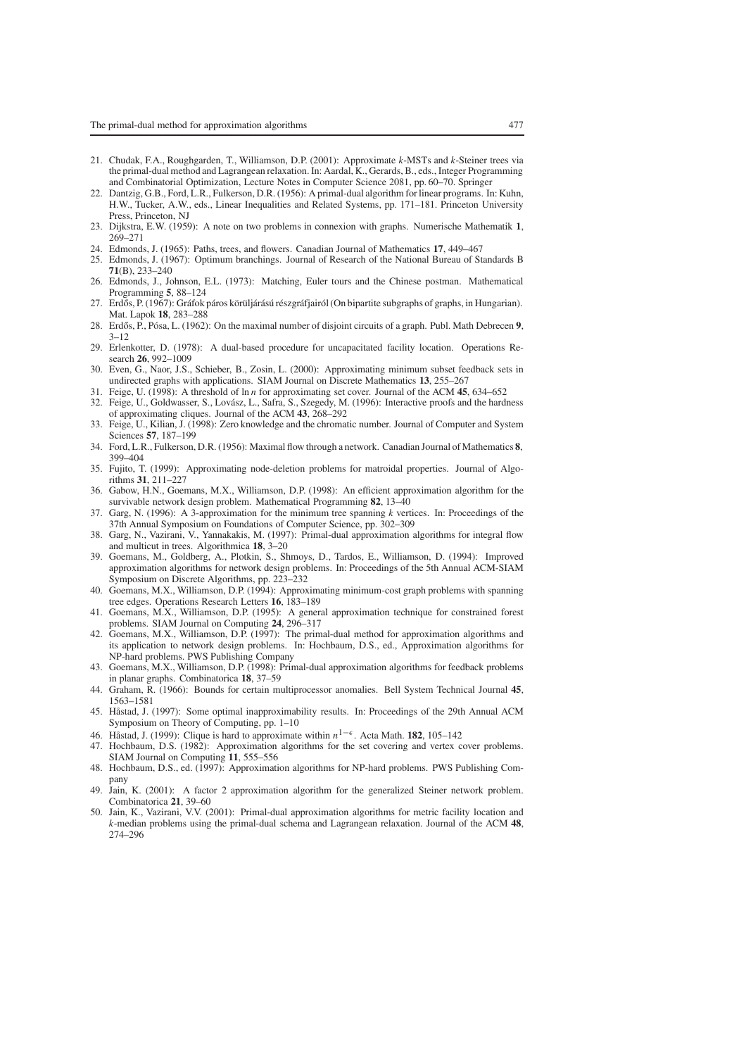- 21. Chudak, F.A., Roughgarden, T., Williamson, D.P. (2001): Approximate *k*-MSTs and *k*-Steiner trees via the primal-dual method and Lagrangean relaxation. In: Aardal, K., Gerards, B., eds., Integer Programming and Combinatorial Optimization, Lecture Notes in Computer Science 2081, pp. 60–70. Springer
- 22. Dantzig, G.B., Ford, L.R., Fulkerson, D.R. (1956): A primal-dual algorithm for linear programs. In: Kuhn, H.W., Tucker, A.W., eds., Linear Inequalities and Related Systems, pp. 171–181. Princeton University Press, Princeton, NJ
- 23. Dijkstra, E.W. (1959): A note on two problems in connexion with graphs. Numerische Mathematik **1**, 269–271
- 24. Edmonds, J. (1965): Paths, trees, and flowers. Canadian Journal of Mathematics **17**, 449–467
- 25. Edmonds, J. (1967): Optimum branchings. Journal of Research of the National Bureau of Standards B **71**(B), 233–240
- 26. Edmonds, J., Johnson, E.L. (1973): Matching, Euler tours and the Chinese postman. Mathematical Programming **5**, 88–124
- 27. Erdős, P. (1967): Gráfok páros körüljárású részgráfjairól (On bipartite subgraphs of graphs, in Hungarian). Mat. Lapok **18**, 283–288
- 28. Erdős, P., Pósa, L. (1962): On the maximal number of disjoint circuits of a graph. Publ. Math Debrecen 9,  $3 - 12$
- 29. Erlenkotter, D. (1978): A dual-based procedure for uncapacitated facility location. Operations Research **26**, 992–1009
- 30. Even, G., Naor, J.S., Schieber, B., Zosin, L. (2000): Approximating minimum subset feedback sets in undirected graphs with applications. SIAM Journal on Discrete Mathematics **13**, 255–267
- 31. Feige, U. (1998): A threshold of ln *n* for approximating set cover. Journal of the ACM **45**, 634–652
- 32. Feige, U., Goldwasser, S., Lovász, L., Safra, S., Szegedy, M. (1996): Interactive proofs and the hardness of approximating cliques. Journal of the ACM **43**, 268–292
- 33. Feige, U., Kilian, J. (1998): Zero knowledge and the chromatic number. Journal of Computer and System Sciences **57**, 187–199
- 34. Ford, L.R., Fulkerson, D.R. (1956): Maximal flow through a network. Canadian Journal of Mathematics **8**, 399–404
- 35. Fujito, T. (1999): Approximating node-deletion problems for matroidal properties. Journal of Algorithms **31**, 211–227
- 36. Gabow, H.N., Goemans, M.X., Williamson, D.P. (1998): An efficient approximation algorithm for the survivable network design problem. Mathematical Programming **82**, 13–40
- 37. Garg, N. (1996): A 3-approximation for the minimum tree spanning *k* vertices. In: Proceedings of the 37th Annual Symposium on Foundations of Computer Science, pp. 302–309
- 38. Garg, N., Vazirani, V., Yannakakis, M. (1997): Primal-dual approximation algorithms for integral flow and multicut in trees. Algorithmica **18**, 3–20
- 39. Goemans, M., Goldberg, A., Plotkin, S., Shmoys, D., Tardos, E., Williamson, D. (1994): Improved approximation algorithms for network design problems. In: Proceedings of the 5th Annual ACM-SIAM Symposium on Discrete Algorithms, pp. 223–232
- 40. Goemans, M.X., Williamson, D.P. (1994): Approximating minimum-cost graph problems with spanning tree edges. Operations Research Letters **16**, 183–189
- 41. Goemans, M.X., Williamson, D.P. (1995): A general approximation technique for constrained forest problems. SIAM Journal on Computing **24**, 296–317
- 42. Goemans, M.X., Williamson, D.P. (1997): The primal-dual method for approximation algorithms and its application to network design problems. In: Hochbaum, D.S., ed., Approximation algorithms for NP-hard problems. PWS Publishing Company
- 43. Goemans, M.X., Williamson, D.P. (1998): Primal-dual approximation algorithms for feedback problems in planar graphs. Combinatorica **18**, 37–59
- 44. Graham, R. (1966): Bounds for certain multiprocessor anomalies. Bell System Technical Journal **45**, 1563–1581
- 45. Håstad, J. (1997): Some optimal inapproximability results. In: Proceedings of the 29th Annual ACM Symposium on Theory of Computing, pp. 1–10
- 46. Håstad, J. (1999): Clique is hard to approximate within  $n^{1-\epsilon}$ . Acta Math. **182**, 105–142
- 47. Hochbaum, D.S. (1982): Approximation algorithms for the set covering and vertex cover problems. SIAM Journal on Computing **11**, 555–556
- 48. Hochbaum, D.S., ed. (1997): Approximation algorithms for NP-hard problems. PWS Publishing Company
- 49. Jain, K. (2001): A factor 2 approximation algorithm for the generalized Steiner network problem. Combinatorica **21**, 39–60
- 50. Jain, K., Vazirani, V.V. (2001): Primal-dual approximation algorithms for metric facility location and *k*-median problems using the primal-dual schema and Lagrangean relaxation. Journal of the ACM **48**, 274–296